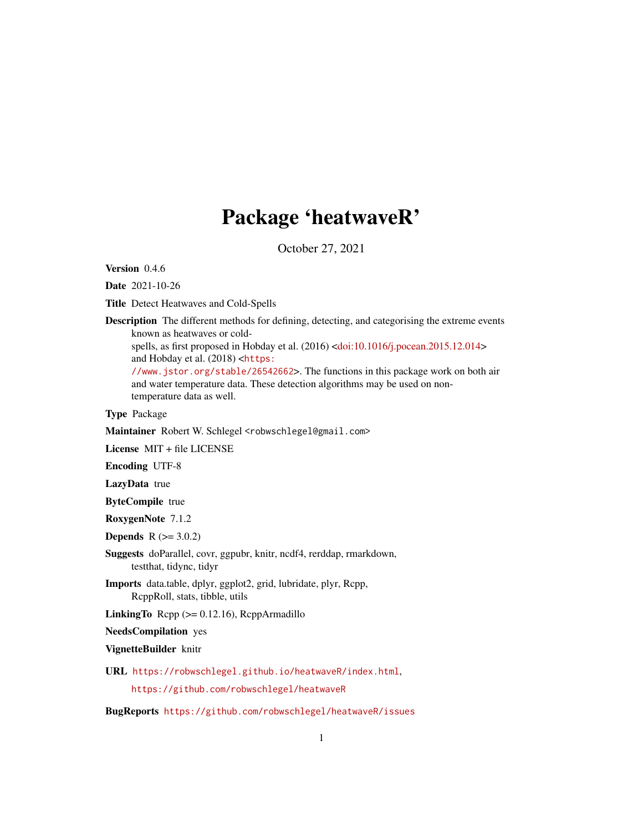# Package 'heatwaveR'

October 27, 2021

<span id="page-0-0"></span>Version 0.4.6

Date 2021-10-26

Title Detect Heatwaves and Cold-Spells

Description The different methods for defining, detecting, and categorising the extreme events known as heatwaves or cold-

spells, as first proposed in Hobday et al. (2016) [<doi:10.1016/j.pocean.2015.12.014>](https://doi.org/10.1016/j.pocean.2015.12.014) and Hobday et al. (2018) <[https:](https://www.jstor.org/stable/26542662)

[//www.jstor.org/stable/26542662](https://www.jstor.org/stable/26542662)>. The functions in this package work on both air and water temperature data. These detection algorithms may be used on nontemperature data as well.

Type Package

Maintainer Robert W. Schlegel <robwschlegel@gmail.com>

License MIT + file LICENSE

Encoding UTF-8

LazyData true

ByteCompile true

RoxygenNote 7.1.2

**Depends** R  $(>= 3.0.2)$ 

- Suggests doParallel, covr, ggpubr, knitr, ncdf4, rerddap, rmarkdown, testthat, tidync, tidyr
- Imports data.table, dplyr, ggplot2, grid, lubridate, plyr, Rcpp, RcppRoll, stats, tibble, utils

LinkingTo Rcpp (>= 0.12.16), RcppArmadillo

NeedsCompilation yes

VignetteBuilder knitr

URL <https://robwschlegel.github.io/heatwaveR/index.html>,

<https://github.com/robwschlegel/heatwaveR>

BugReports <https://github.com/robwschlegel/heatwaveR/issues>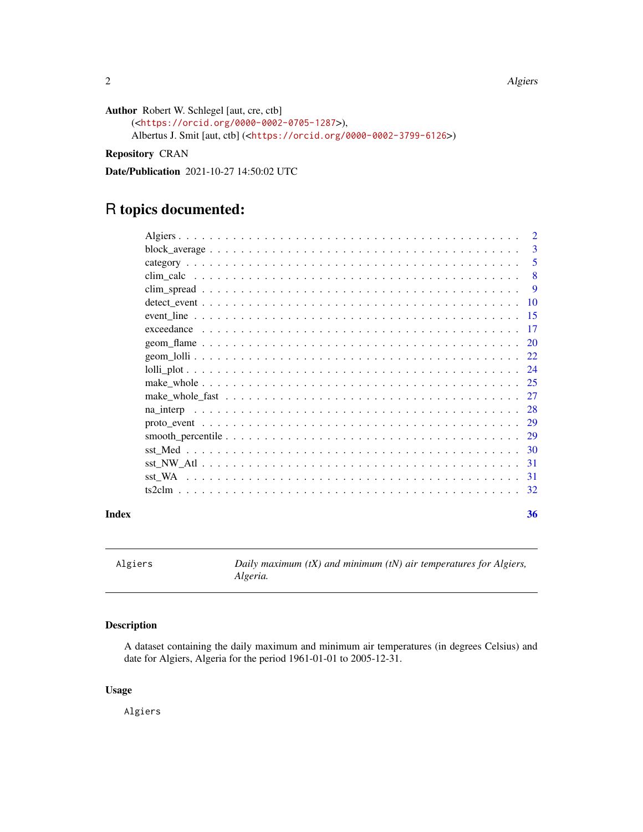<span id="page-1-0"></span>2 Algiers and the contract of the contract of the contract of the contract of the contract of the contract of the contract of the contract of the contract of the contract of the contract of the contract of the contract of

```
Author Robert W. Schlegel [aut, cre, ctb]
```

```
(<https://orcid.org/0000-0002-0705-1287>),
Albertus J. Smit [aut, ctb] (<https://orcid.org/0000-0002-3799-6126>)
```
Repository CRAN

Date/Publication 2021-10-27 14:50:02 UTC

# R topics documented:

|           | $\mathcal{D}$ |
|-----------|---------------|
|           | $\mathbf{3}$  |
|           | 5             |
|           | 8             |
|           | 9             |
|           | -10           |
|           | -15           |
|           | -17           |
|           | 20            |
|           | 22            |
|           | 24            |
|           | -25           |
|           | 27            |
| na interp | 28            |
|           | 29            |
|           |               |
|           | 30            |
|           | -31           |
|           | 31            |
|           | 32            |
|           |               |

## **Index** [36](#page-35-0)

Algiers *Daily maximum (tX) and minimum (tN) air temperatures for Algiers, Algeria.*

# Description

A dataset containing the daily maximum and minimum air temperatures (in degrees Celsius) and date for Algiers, Algeria for the period 1961-01-01 to 2005-12-31.

#### Usage

Algiers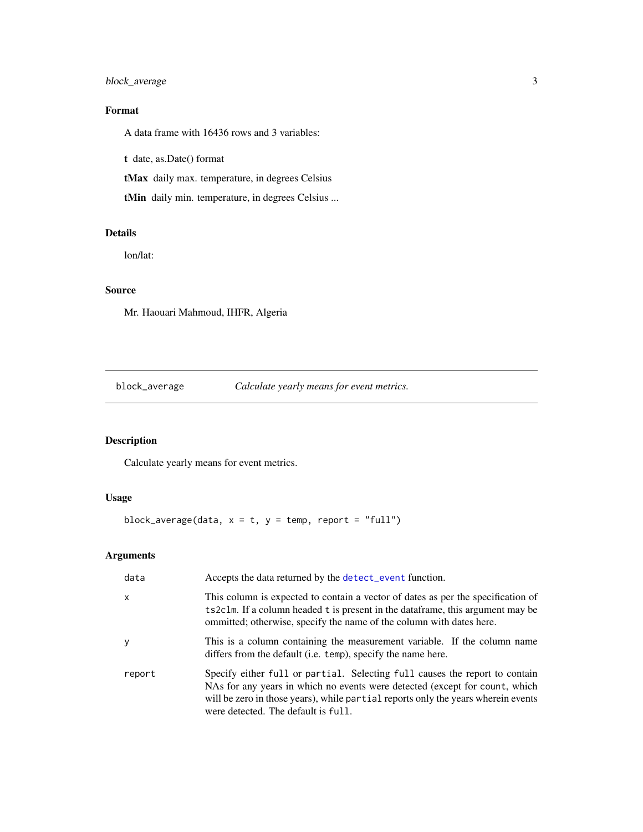# <span id="page-2-0"></span>block\_average 3

# Format

A data frame with 16436 rows and 3 variables:

t date, as.Date() format

tMax daily max. temperature, in degrees Celsius

tMin daily min. temperature, in degrees Celsius ...

#### Details

lon/lat:

# Source

Mr. Haouari Mahmoud, IHFR, Algeria

block\_average *Calculate yearly means for event metrics.*

# Description

Calculate yearly means for event metrics.

# Usage

block\_average(data,  $x = t$ ,  $y = temp$ , report = "full")

# Arguments

| data         | Accepts the data returned by the detect_event function.                                                                                                                                                                                                                                |
|--------------|----------------------------------------------------------------------------------------------------------------------------------------------------------------------------------------------------------------------------------------------------------------------------------------|
| $\mathsf{x}$ | This column is expected to contain a vector of dates as per the specification of<br>ts 2clm. If a column headed t is present in the data frame, this argument may be<br>ommitted; otherwise, specify the name of the column with dates here.                                           |
| y            | This is a column containing the measurement variable. If the column name<br>differs from the default (i.e. temp), specify the name here.                                                                                                                                               |
| report       | Specify either full or partial. Selecting full causes the report to contain<br>NAs for any years in which no events were detected (except for count, which<br>will be zero in those years), while partial reports only the years wherein events<br>were detected. The default is full. |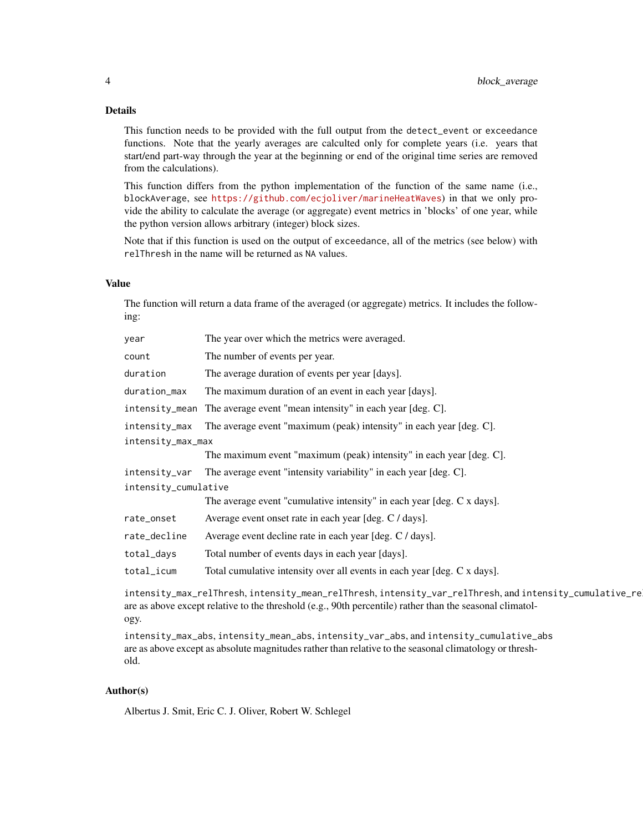# Details

This function needs to be provided with the full output from the detect\_event or exceedance functions. Note that the yearly averages are calculted only for complete years (i.e. years that start/end part-way through the year at the beginning or end of the original time series are removed from the calculations).

This function differs from the python implementation of the function of the same name (i.e., blockAverage, see <https://github.com/ecjoliver/marineHeatWaves>) in that we only provide the ability to calculate the average (or aggregate) event metrics in 'blocks' of one year, while the python version allows arbitrary (integer) block sizes.

Note that if this function is used on the output of exceedance, all of the metrics (see below) with relThresh in the name will be returned as NA values.

# Value

The function will return a data frame of the averaged (or aggregate) metrics. It includes the following:

| year                 | The year over which the metrics were averaged.                           |  |
|----------------------|--------------------------------------------------------------------------|--|
| count                | The number of events per year.                                           |  |
| duration             | The average duration of events per year [days].                          |  |
| duration_max         | The maximum duration of an event in each year [days].                    |  |
| intensity_mean       | The average event "mean intensity" in each year [deg. C].                |  |
| intensity_max        | The average event "maximum (peak) intensity" in each year [deg. C].      |  |
| intensity_max_max    |                                                                          |  |
|                      | The maximum event "maximum (peak) intensity" in each year [deg. C].      |  |
| intensity_var        | The average event "intensity variability" in each year [deg. C].         |  |
| intensity_cumulative |                                                                          |  |
|                      | The average event "cumulative intensity" in each year [deg. C x days].   |  |
| rate_onset           | Average event onset rate in each year [deg. C / days].                   |  |
| rate_decline         | Average event decline rate in each year [deg. C / days].                 |  |
| total_days           | Total number of events days in each year [days].                         |  |
| total_icum           | Total cumulative intensity over all events in each year [deg. C x days]. |  |

intensity\_max\_relThresh, intensity\_mean\_relThresh, intensity\_var\_relThresh, and intensity\_cumulative\_re are as above except relative to the threshold (e.g., 90th percentile) rather than the seasonal climatology.

intensity\_max\_abs, intensity\_mean\_abs, intensity\_var\_abs, and intensity\_cumulative\_abs are as above except as absolute magnitudes rather than relative to the seasonal climatology or threshold.

# Author(s)

Albertus J. Smit, Eric C. J. Oliver, Robert W. Schlegel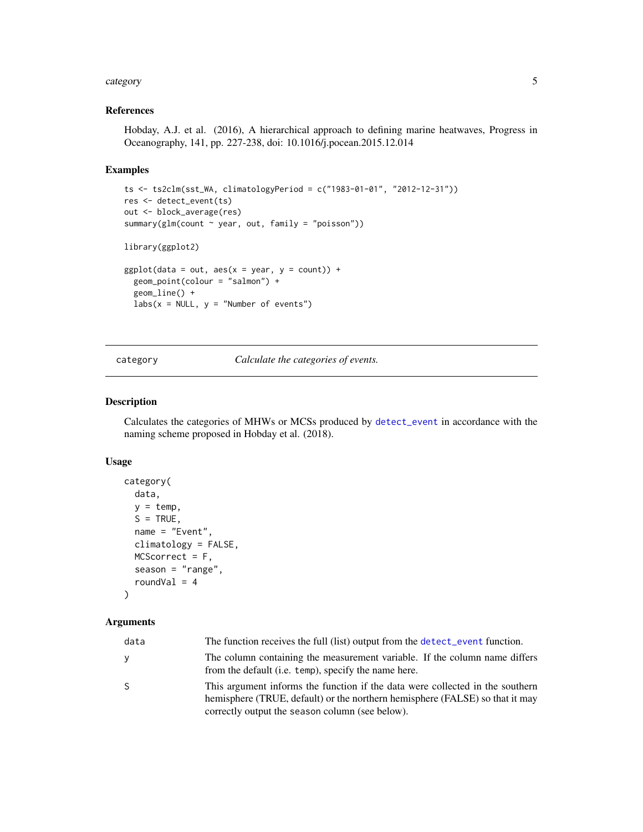#### <span id="page-4-0"></span>category 5

# References

Hobday, A.J. et al. (2016), A hierarchical approach to defining marine heatwaves, Progress in Oceanography, 141, pp. 227-238, doi: 10.1016/j.pocean.2015.12.014

#### Examples

```
ts <- ts2clm(sst_WA, climatologyPeriod = c("1983-01-01", "2012-12-31"))
res <- detect_event(ts)
out <- block_average(res)
summary(glm(count ~ year, out, family = "poisson"))
library(ggplot2)
ggplot(data = out, aes(x = year, y = count)) +geom_point(colour = "salmon") +
  geom_line() +
  labs(x = NULL, y = "Number of events")
```
<span id="page-4-1"></span>category *Calculate the categories of events.*

#### Description

Calculates the categories of MHWs or MCSs produced by [detect\\_event](#page-9-1) in accordance with the naming scheme proposed in Hobday et al. (2018).

## Usage

```
category(
 data,
 y = temp,S = TRUE,name = "Event",
  climatology = FALSE,
 MCScorrect = F,
  season = "range",
  roundVal = 4)
```
# Arguments

| data | The function receives the full (list) output from the detect_event function.                                                                                                                                     |
|------|------------------------------------------------------------------------------------------------------------------------------------------------------------------------------------------------------------------|
| ۷    | The column containing the measurement variable. If the column name differs<br>from the default (i.e. temp), specify the name here.                                                                               |
| S.   | This argument informs the function if the data were collected in the southern<br>hemisphere (TRUE, default) or the northern hemisphere (FALSE) so that it may<br>correctly output the season column (see below). |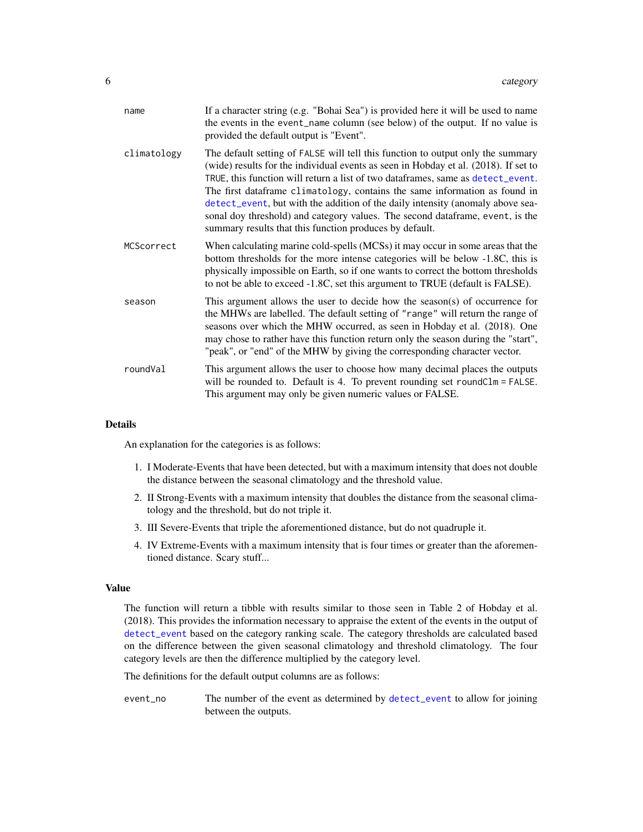<span id="page-5-0"></span>

| name        | If a character string (e.g. "Bohai Sea") is provided here it will be used to name<br>the events in the event_name column (see below) of the output. If no value is<br>provided the default output is "Event".                                                                                                                                                                                                                                                                                                                                                         |
|-------------|-----------------------------------------------------------------------------------------------------------------------------------------------------------------------------------------------------------------------------------------------------------------------------------------------------------------------------------------------------------------------------------------------------------------------------------------------------------------------------------------------------------------------------------------------------------------------|
| climatology | The default setting of FALSE will tell this function to output only the summary<br>(wide) results for the individual events as seen in Hobday et al. (2018). If set to<br>TRUE, this function will return a list of two dataframes, same as detect_event.<br>The first dataframe climatology, contains the same information as found in<br>detect_event, but with the addition of the daily intensity (anomaly above sea-<br>sonal doy threshold) and category values. The second dataframe, event, is the<br>summary results that this function produces by default. |
| MCScorrect  | When calculating marine cold-spells (MCSs) it may occur in some areas that the<br>bottom thresholds for the more intense categories will be below -1.8C, this is<br>physically impossible on Earth, so if one wants to correct the bottom thresholds<br>to not be able to exceed -1.8C, set this argument to TRUE (default is FALSE).                                                                                                                                                                                                                                 |
| season      | This argument allows the user to decide how the season(s) of occurrence for<br>the MHWs are labelled. The default setting of "range" will return the range of<br>seasons over which the MHW occurred, as seen in Hobday et al. (2018). One<br>may chose to rather have this function return only the season during the "start",<br>"peak", or "end" of the MHW by giving the corresponding character vector.                                                                                                                                                          |
| roundVal    | This argument allows the user to choose how many decimal places the outputs<br>will be rounded to. Default is 4. To prevent rounding set roundClm = FALSE.<br>This argument may only be given numeric values or FALSE.                                                                                                                                                                                                                                                                                                                                                |

#### Details

An explanation for the categories is as follows:

- 1. I Moderate-Events that have been detected, but with a maximum intensity that does not double the distance between the seasonal climatology and the threshold value.
- 2. II Strong-Events with a maximum intensity that doubles the distance from the seasonal climatology and the threshold, but do not triple it.
- 3. III Severe-Events that triple the aforementioned distance, but do not quadruple it.
- 4. IV Extreme-Events with a maximum intensity that is four times or greater than the aforementioned distance. Scary stuff...

#### Value

The function will return a tibble with results similar to those seen in Table 2 of Hobday et al. (2018). This provides the information necessary to appraise the extent of the events in the output of [detect\\_event](#page-9-1) based on the category ranking scale. The category thresholds are calculated based on the difference between the given seasonal climatology and threshold climatology. The four category levels are then the difference multiplied by the category level.

The definitions for the default output columns are as follows:

event\_no The number of the event as determined by [detect\\_event](#page-9-1) to allow for joining between the outputs.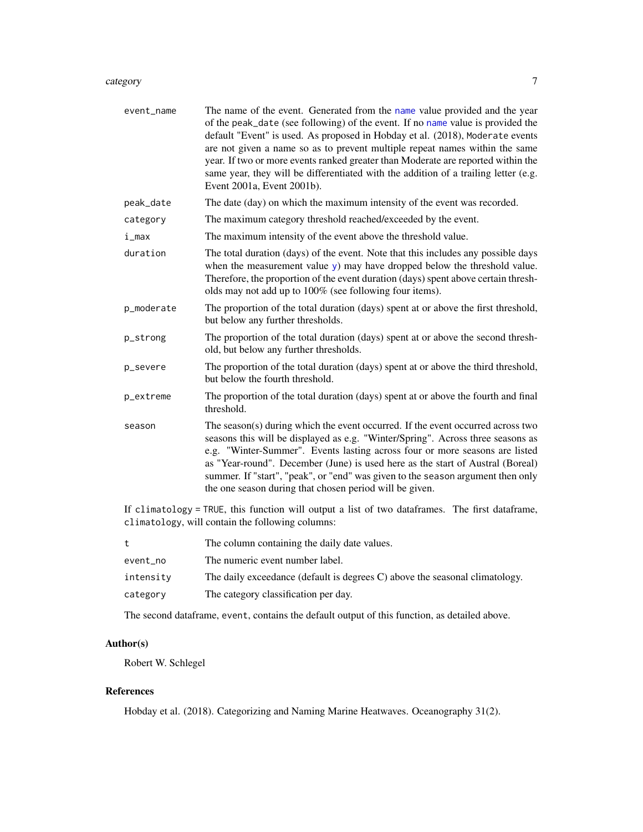#### <span id="page-6-0"></span>category 7 and 2008 and 2008 and 2008 and 2008 and 2008 and 2008 and 2008 and 2008 and 2008 and 2008 and 2008 and 2008 and 2008 and 2008 and 2008 and 2008 and 2008 and 2008 and 2008 and 2008 and 2008 and 2008 and 2008 and

| event_name | The name of the event. Generated from the name value provided and the year<br>of the peak_date (see following) of the event. If no name value is provided the<br>default "Event" is used. As proposed in Hobday et al. (2018), Moderate events<br>are not given a name so as to prevent multiple repeat names within the same<br>year. If two or more events ranked greater than Moderate are reported within the<br>same year, they will be differentiated with the addition of a trailing letter (e.g.<br>Event 2001a, Event 2001b). |
|------------|----------------------------------------------------------------------------------------------------------------------------------------------------------------------------------------------------------------------------------------------------------------------------------------------------------------------------------------------------------------------------------------------------------------------------------------------------------------------------------------------------------------------------------------|
| peak_date  | The date (day) on which the maximum intensity of the event was recorded.                                                                                                                                                                                                                                                                                                                                                                                                                                                               |
| category   | The maximum category threshold reached/exceeded by the event.                                                                                                                                                                                                                                                                                                                                                                                                                                                                          |
| i_max      | The maximum intensity of the event above the threshold value.                                                                                                                                                                                                                                                                                                                                                                                                                                                                          |
| duration   | The total duration (days) of the event. Note that this includes any possible days<br>when the measurement value y) may have dropped below the threshold value.<br>Therefore, the proportion of the event duration (days) spent above certain thresh-<br>olds may not add up to 100% (see following four items).                                                                                                                                                                                                                        |
| p_moderate | The proportion of the total duration (days) spent at or above the first threshold,<br>but below any further thresholds.                                                                                                                                                                                                                                                                                                                                                                                                                |
| p_strong   | The proportion of the total duration (days) spent at or above the second thresh-<br>old, but below any further thresholds.                                                                                                                                                                                                                                                                                                                                                                                                             |
| p_severe   | The proportion of the total duration (days) spent at or above the third threshold,<br>but below the fourth threshold.                                                                                                                                                                                                                                                                                                                                                                                                                  |
| p_extreme  | The proportion of the total duration (days) spent at or above the fourth and final<br>threshold.                                                                                                                                                                                                                                                                                                                                                                                                                                       |
| season     | The season(s) during which the event occurred. If the event occurred across two<br>seasons this will be displayed as e.g. "Winter/Spring". Across three seasons as<br>e.g. "Winter-Summer". Events lasting across four or more seasons are listed<br>as "Year-round". December (June) is used here as the start of Austral (Boreal)<br>summer. If "start", "peak", or "end" was given to the season argument then only<br>the one season during that chosen period will be given.                                                      |

If climatology = TRUE, this function will output a list of two dataframes. The first dataframe, climatology, will contain the following columns:

|           | The column containing the daily date values.                                |
|-----------|-----------------------------------------------------------------------------|
| event no  | The numeric event number label.                                             |
| intensity | The daily exceedance (default is degrees C) above the seasonal climatology. |
| category  | The category classification per day.                                        |

The second dataframe, event, contains the default output of this function, as detailed above.

# Author(s)

Robert W. Schlegel

# References

Hobday et al. (2018). Categorizing and Naming Marine Heatwaves. Oceanography 31(2).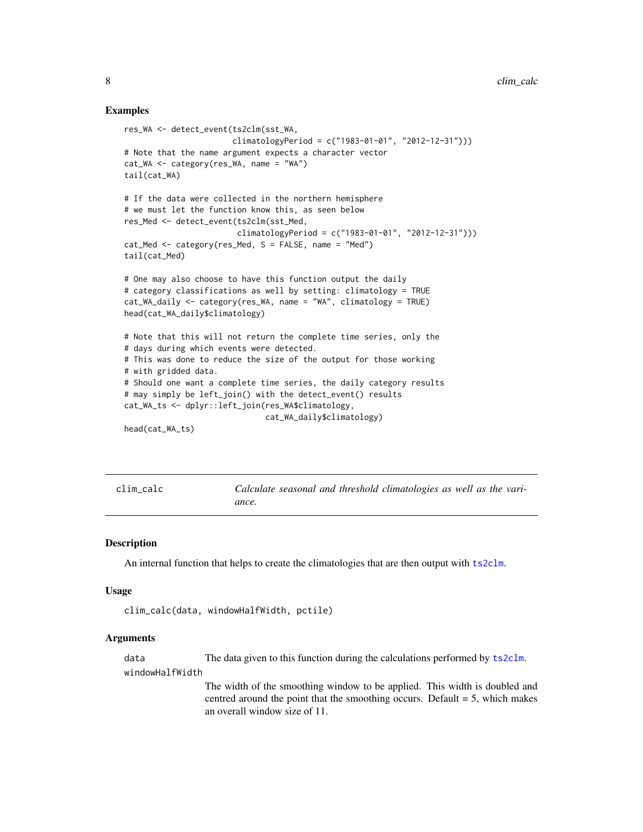#### Examples

```
res_WA <- detect_event(ts2clm(sst_WA,
                       climatologyPeriod = c("1983-01-01", "2012-12-31")))
# Note that the name argument expects a character vector
cat_WA <- category(res_WA, name = "WA")
tail(cat_WA)
# If the data were collected in the northern hemisphere
# we must let the function know this, as seen below
res_Med <- detect_event(ts2clm(sst_Med,
                        climatologyPeriod = c("1983-01-01", "2012-12-31")))
cat_Med <- category(res_Med, S = FALSE, name = "Med")
tail(cat_Med)
# One may also choose to have this function output the daily
# category classifications as well by setting: climatology = TRUE
cat_WA_daily <- category(res_WA, name = "WA", climatology = TRUE)
head(cat_WA_daily$climatology)
# Note that this will not return the complete time series, only the
# days during which events were detected.
# This was done to reduce the size of the output for those working
# with gridded data.
# Should one want a complete time series, the daily category results
# may simply be left_join() with the detect_event() results
cat_WA_ts <- dplyr::left_join(res_WA$climatology,
                              cat_WA_daily$climatology)
head(cat_WA_ts)
```
<span id="page-7-1"></span>clim\_calc *Calculate seasonal and threshold climatologies as well as the variance.*

#### Description

An internal function that helps to create the climatologies that are then output with [ts2clm](#page-31-1).

#### Usage

```
clim_calc(data, windowHalfWidth, pctile)
```
#### Arguments

data The data given to this function during the calculations performed by [ts2clm](#page-31-1).

windowHalfWidth

The width of the smoothing window to be applied. This width is doubled and centred around the point that the smoothing occurs. Default  $= 5$ , which makes an overall window size of 11.

<span id="page-7-0"></span>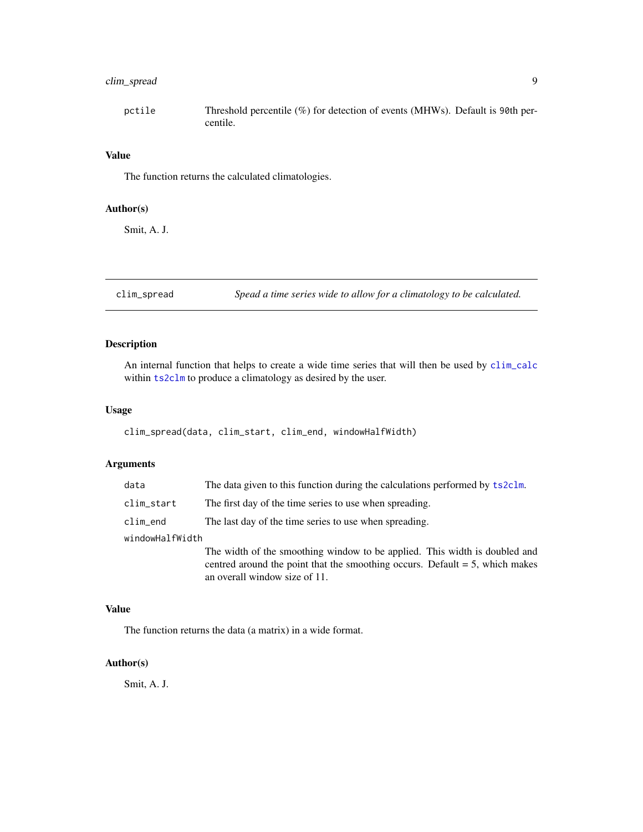# <span id="page-8-0"></span>clim\_spread 9

| pctile | Threshold percentile $(\%)$ for detection of events (MHWs). Default is 90th per- |
|--------|----------------------------------------------------------------------------------|
|        | centile.                                                                         |

#### Value

The function returns the calculated climatologies.

# Author(s)

Smit, A. J.

clim\_spread *Spead a time series wide to allow for a climatology to be calculated.*

# Description

An internal function that helps to create a wide time series that will then be used by [clim\\_calc](#page-7-1) within [ts2clm](#page-31-1) to produce a climatology as desired by the user.

# Usage

clim\_spread(data, clim\_start, clim\_end, windowHalfWidth)

#### Arguments

| data            | The data given to this function during the calculations performed by ts2clm.                                                                                                                   |
|-----------------|------------------------------------------------------------------------------------------------------------------------------------------------------------------------------------------------|
| clim_start      | The first day of the time series to use when spreading.                                                                                                                                        |
| $clim$ _end     | The last day of the time series to use when spreading.                                                                                                                                         |
| windowHalfWidth |                                                                                                                                                                                                |
|                 | The width of the smoothing window to be applied. This width is doubled and<br>centred around the point that the smoothing occurs. Default $= 5$ , which makes<br>an overall window size of 11. |

# Value

The function returns the data (a matrix) in a wide format.

# Author(s)

Smit, A. J.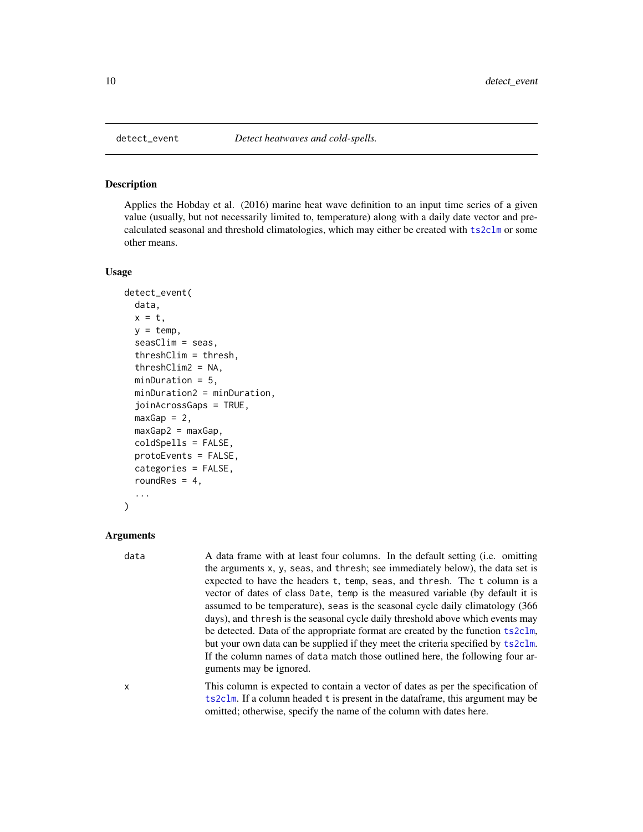<span id="page-9-1"></span><span id="page-9-0"></span>

# Description

Applies the Hobday et al. (2016) marine heat wave definition to an input time series of a given value (usually, but not necessarily limited to, temperature) along with a daily date vector and precalculated seasonal and threshold climatologies, which may either be created with [ts2clm](#page-31-1) or some other means.

#### Usage

```
detect_event(
  data,
  x = t,
  y = temp,seasClim = seas,
  threshClim = thresh,
  threshClim2 = NA,
  minDuration = 5,
  minDuration2 = minDuration,
  joinAcrossGaps = TRUE,
  maxGap = 2,
 maxGap2 = maxGap,coldSpells = FALSE,
  protoEvents = FALSE,
  categories = FALSE,
  roundRes = 4,
  ...
)
```
#### Arguments

data A data frame with at least four columns. In the default setting (i.e. omitting the arguments x, y, seas, and thresh; see immediately below), the data set is expected to have the headers t, temp, seas, and thresh. The t column is a vector of dates of class Date, temp is the measured variable (by default it is assumed to be temperature), seas is the seasonal cycle daily climatology (366 days), and thresh is the seasonal cycle daily threshold above which events may be detected. Data of the appropriate format are created by the function [ts2clm](#page-31-1), but your own data can be supplied if they meet the criteria specified by [ts2clm](#page-31-1). If the column names of data match those outlined here, the following four arguments may be ignored.

x This column is expected to contain a vector of dates as per the specification of [ts2clm](#page-31-1). If a column headed t is present in the dataframe, this argument may be omitted; otherwise, specify the name of the column with dates here.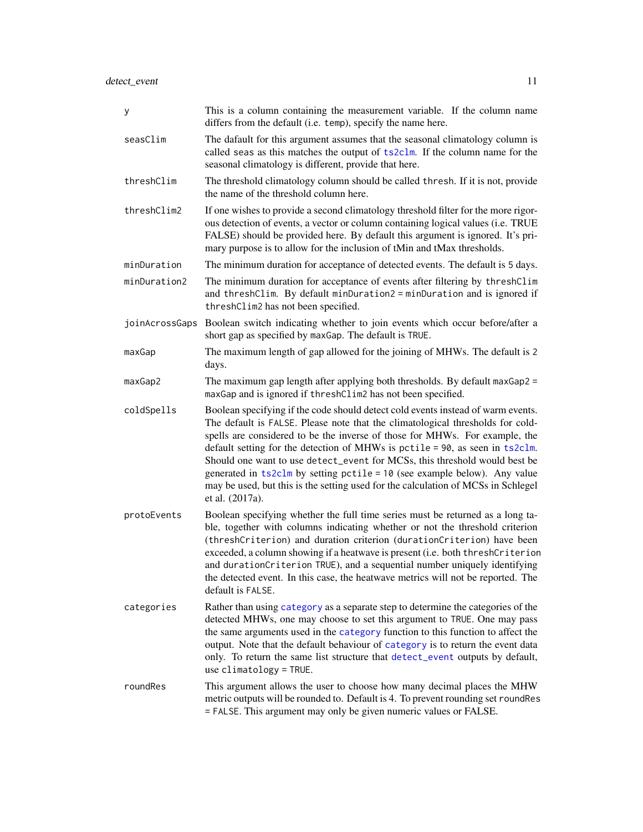<span id="page-10-0"></span>

| У              | This is a column containing the measurement variable. If the column name<br>differs from the default (i.e. temp), specify the name here.                                                                                                                                                                                                                                                                                                                                                                                                                                                               |
|----------------|--------------------------------------------------------------------------------------------------------------------------------------------------------------------------------------------------------------------------------------------------------------------------------------------------------------------------------------------------------------------------------------------------------------------------------------------------------------------------------------------------------------------------------------------------------------------------------------------------------|
| seasClim       | The dafault for this argument assumes that the seasonal climatology column is<br>called seas as this matches the output of ts2c1m. If the column name for the<br>seasonal climatology is different, provide that here.                                                                                                                                                                                                                                                                                                                                                                                 |
| threshClim     | The threshold climatology column should be called thresh. If it is not, provide<br>the name of the threshold column here.                                                                                                                                                                                                                                                                                                                                                                                                                                                                              |
| threshClim2    | If one wishes to provide a second climatology threshold filter for the more rigor-<br>ous detection of events, a vector or column containing logical values (i.e. TRUE<br>FALSE) should be provided here. By default this argument is ignored. It's pri-<br>mary purpose is to allow for the inclusion of tMin and tMax thresholds.                                                                                                                                                                                                                                                                    |
| minDuration    | The minimum duration for acceptance of detected events. The default is 5 days.                                                                                                                                                                                                                                                                                                                                                                                                                                                                                                                         |
| minDuration2   | The minimum duration for acceptance of events after filtering by threshClim<br>and threshClim. By default minDuration2 = minDuration and is ignored if<br>threshClim2 has not been specified.                                                                                                                                                                                                                                                                                                                                                                                                          |
| joinAcrossGaps | Boolean switch indicating whether to join events which occur before/after a<br>short gap as specified by maxGap. The default is TRUE.                                                                                                                                                                                                                                                                                                                                                                                                                                                                  |
| maxGap         | The maximum length of gap allowed for the joining of MHWs. The default is 2<br>days.                                                                                                                                                                                                                                                                                                                                                                                                                                                                                                                   |
| maxGap2        | The maximum gap length after applying both thresholds. By default maxGap2 =<br>maxGap and is ignored if threshClim2 has not been specified.                                                                                                                                                                                                                                                                                                                                                                                                                                                            |
| coldSpells     | Boolean specifying if the code should detect cold events instead of warm events.<br>The default is FALSE. Please note that the climatological thresholds for cold-<br>spells are considered to be the inverse of those for MHWs. For example, the<br>default setting for the detection of MHWs is pctile = 90, as seen in ts2clm.<br>Should one want to use detect_event for MCSs, this threshold would best be<br>generated in $ts2clm$ by setting pctile = 10 (see example below). Any value<br>may be used, but this is the setting used for the calculation of MCSs in Schlegel<br>et al. (2017a). |
| protoEvents    | Boolean specifying whether the full time series must be returned as a long ta-<br>ble, together with columns indicating whether or not the threshold criterion<br>(threshCriterion) and duration criterion (durationCriterion) have been<br>exceeded, a column showing if a heatwave is present (i.e. both threshCriterion<br>and durationCriterion TRUE), and a sequential number uniquely identifying<br>the detected event. In this case, the heatwave metrics will not be reported. The<br>default is FALSE.                                                                                       |
| categories     | Rather than using category as a separate step to determine the categories of the<br>detected MHWs, one may choose to set this argument to TRUE. One may pass<br>the same arguments used in the category function to this function to affect the<br>output. Note that the default behaviour of category is to return the event data<br>only. To return the same list structure that detect_event outputs by default,<br>use $climator = TRUE$ .                                                                                                                                                         |
| roundRes       | This argument allows the user to choose how many decimal places the MHW<br>metric outputs will be rounded to. Default is 4. To prevent rounding set roundRes<br>= FALSE. This argument may only be given numeric values or FALSE.                                                                                                                                                                                                                                                                                                                                                                      |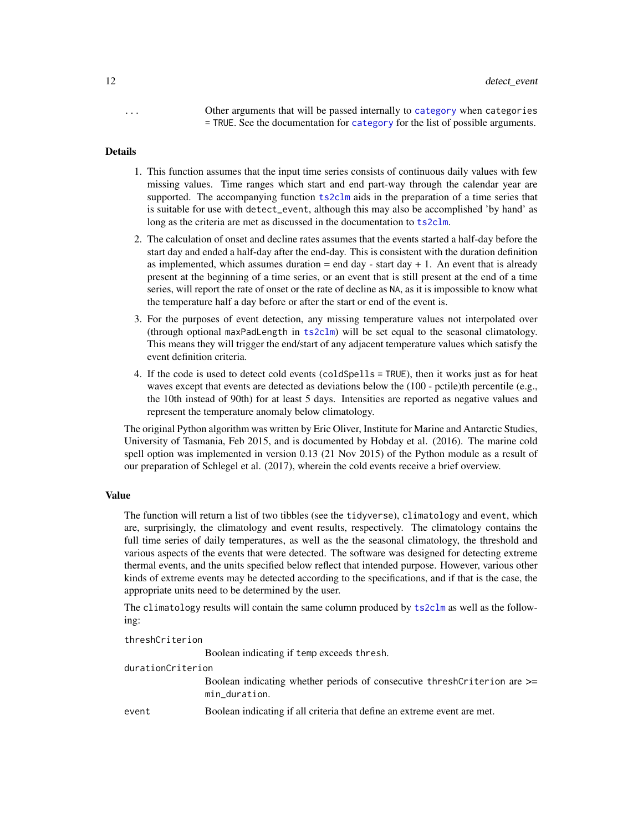<span id="page-11-0"></span>... Other arguments that will be passed internally to [category](#page-4-1) when categories = TRUE. See the documentation for [category](#page-4-1) for the list of possible arguments.

#### Details

- 1. This function assumes that the input time series consists of continuous daily values with few missing values. Time ranges which start and end part-way through the calendar year are supported. The accompanying function [ts2clm](#page-31-1) aids in the preparation of a time series that is suitable for use with detect\_event, although this may also be accomplished 'by hand' as long as the criteria are met as discussed in the documentation to [ts2clm](#page-31-1).
- 2. The calculation of onset and decline rates assumes that the events started a half-day before the start day and ended a half-day after the end-day. This is consistent with the duration definition as implemented, which assumes duration  $=$  end day - start day  $+1$ . An event that is already present at the beginning of a time series, or an event that is still present at the end of a time series, will report the rate of onset or the rate of decline as NA, as it is impossible to know what the temperature half a day before or after the start or end of the event is.
- 3. For the purposes of event detection, any missing temperature values not interpolated over (through optional maxPadLength in [ts2clm](#page-31-1)) will be set equal to the seasonal climatology. This means they will trigger the end/start of any adjacent temperature values which satisfy the event definition criteria.
- 4. If the code is used to detect cold events (coldSpells = TRUE), then it works just as for heat waves except that events are detected as deviations below the (100 - pctile)th percentile (e.g., the 10th instead of 90th) for at least 5 days. Intensities are reported as negative values and represent the temperature anomaly below climatology.

The original Python algorithm was written by Eric Oliver, Institute for Marine and Antarctic Studies, University of Tasmania, Feb 2015, and is documented by Hobday et al. (2016). The marine cold spell option was implemented in version 0.13 (21 Nov 2015) of the Python module as a result of our preparation of Schlegel et al. (2017), wherein the cold events receive a brief overview.

#### Value

The function will return a list of two tibbles (see the tidyverse), climatology and event, which are, surprisingly, the climatology and event results, respectively. The climatology contains the full time series of daily temperatures, as well as the the seasonal climatology, the threshold and various aspects of the events that were detected. The software was designed for detecting extreme thermal events, and the units specified below reflect that intended purpose. However, various other kinds of extreme events may be detected according to the specifications, and if that is the case, the appropriate units need to be determined by the user.

The climatology results will contain the same column produced by [ts2clm](#page-31-1) as well as the following:

threshCriterion

Boolean indicating if temp exceeds thresh.

#### durationCriterion

Boolean indicating whether periods of consecutive threshCriterion are >= min\_duration.

event Boolean indicating if all criteria that define an extreme event are met.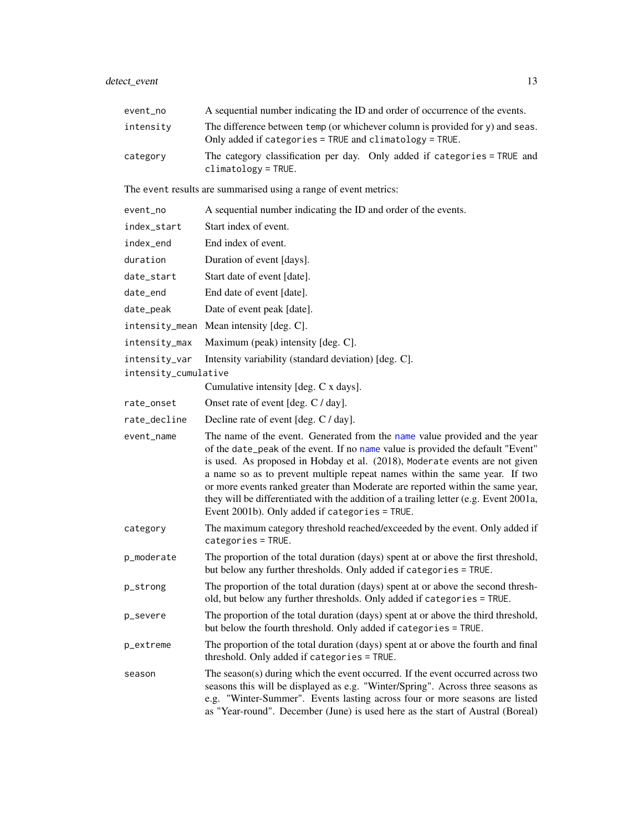<span id="page-12-0"></span>

| event_no             | A sequential number indicating the ID and order of occurrence of the events.                                                                                                                                                                                                                                                                                                                                                                                                                                                                            |
|----------------------|---------------------------------------------------------------------------------------------------------------------------------------------------------------------------------------------------------------------------------------------------------------------------------------------------------------------------------------------------------------------------------------------------------------------------------------------------------------------------------------------------------------------------------------------------------|
| intensity            | The difference between temp (or whichever column is provided for y) and seas.<br>Only added if categories = TRUE and climatology = TRUE.                                                                                                                                                                                                                                                                                                                                                                                                                |
| category             | The category classification per day. Only added if categories = TRUE and<br>$climator = TRUE.$                                                                                                                                                                                                                                                                                                                                                                                                                                                          |
|                      | The event results are summarised using a range of event metrics:                                                                                                                                                                                                                                                                                                                                                                                                                                                                                        |
| event_no             | A sequential number indicating the ID and order of the events.                                                                                                                                                                                                                                                                                                                                                                                                                                                                                          |
| index_start          | Start index of event.                                                                                                                                                                                                                                                                                                                                                                                                                                                                                                                                   |
| index_end            | End index of event.                                                                                                                                                                                                                                                                                                                                                                                                                                                                                                                                     |
| duration             | Duration of event [days].                                                                                                                                                                                                                                                                                                                                                                                                                                                                                                                               |
| date_start           | Start date of event [date].                                                                                                                                                                                                                                                                                                                                                                                                                                                                                                                             |
| date_end             | End date of event [date].                                                                                                                                                                                                                                                                                                                                                                                                                                                                                                                               |
| date_peak            | Date of event peak [date].                                                                                                                                                                                                                                                                                                                                                                                                                                                                                                                              |
|                      | intensity_mean Mean intensity [deg. C].                                                                                                                                                                                                                                                                                                                                                                                                                                                                                                                 |
| intensity_max        | Maximum (peak) intensity [deg. C].                                                                                                                                                                                                                                                                                                                                                                                                                                                                                                                      |
| intensity_var        | Intensity variability (standard deviation) [deg. C].                                                                                                                                                                                                                                                                                                                                                                                                                                                                                                    |
| intensity_cumulative |                                                                                                                                                                                                                                                                                                                                                                                                                                                                                                                                                         |
|                      | Cumulative intensity [deg. C x days].                                                                                                                                                                                                                                                                                                                                                                                                                                                                                                                   |
| rate_onset           | Onset rate of event [deg. C / day].                                                                                                                                                                                                                                                                                                                                                                                                                                                                                                                     |
| rate_decline         | Decline rate of event [deg. C / day].                                                                                                                                                                                                                                                                                                                                                                                                                                                                                                                   |
| event_name           | The name of the event. Generated from the name value provided and the year<br>of the date_peak of the event. If no name value is provided the default "Event"<br>is used. As proposed in Hobday et al. (2018), Moderate events are not given<br>a name so as to prevent multiple repeat names within the same year. If two<br>or more events ranked greater than Moderate are reported within the same year,<br>they will be differentiated with the addition of a trailing letter (e.g. Event 2001a,<br>Event 2001b). Only added if categories = TRUE. |
| category             | The maximum category threshold reached/exceeded by the event. Only added if<br>$categorical = TRUE.$                                                                                                                                                                                                                                                                                                                                                                                                                                                    |
| p_moderate           | The proportion of the total duration (days) spent at or above the first threshold,<br>but below any further thresholds. Only added if categories = TRUE.                                                                                                                                                                                                                                                                                                                                                                                                |
| p_strong             | The proportion of the total duration (days) spent at or above the second thresh-<br>old, but below any further thresholds. Only added if categories = TRUE.                                                                                                                                                                                                                                                                                                                                                                                             |
| p_severe             | The proportion of the total duration (days) spent at or above the third threshold,<br>but below the fourth threshold. Only added if categories = TRUE.                                                                                                                                                                                                                                                                                                                                                                                                  |
| p_extreme            | The proportion of the total duration (days) spent at or above the fourth and final<br>threshold. Only added if categories = TRUE.                                                                                                                                                                                                                                                                                                                                                                                                                       |
| season               | The season(s) during which the event occurred. If the event occurred across two<br>seasons this will be displayed as e.g. "Winter/Spring". Across three seasons as<br>e.g. "Winter-Summer". Events lasting across four or more seasons are listed<br>as "Year-round". December (June) is used here as the start of Austral (Boreal)                                                                                                                                                                                                                     |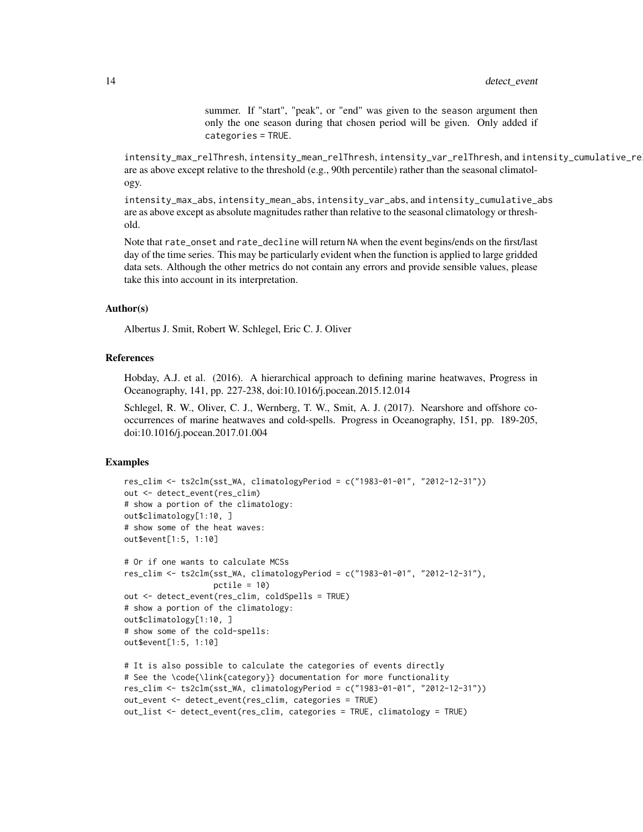summer. If "start", "peak", or "end" was given to the season argument then only the one season during that chosen period will be given. Only added if categories = TRUE.

intensity\_max\_relThresh, intensity\_mean\_relThresh, intensity\_var\_relThresh, and intensity\_cumulative\_re are as above except relative to the threshold (e.g., 90th percentile) rather than the seasonal climatology.

intensity\_max\_abs, intensity\_mean\_abs, intensity\_var\_abs, and intensity\_cumulative\_abs are as above except as absolute magnitudes rather than relative to the seasonal climatology or threshold.

Note that rate\_onset and rate\_decline will return NA when the event begins/ends on the first/last day of the time series. This may be particularly evident when the function is applied to large gridded data sets. Although the other metrics do not contain any errors and provide sensible values, please take this into account in its interpretation.

#### Author(s)

Albertus J. Smit, Robert W. Schlegel, Eric C. J. Oliver

# References

Hobday, A.J. et al. (2016). A hierarchical approach to defining marine heatwaves, Progress in Oceanography, 141, pp. 227-238, doi:10.1016/j.pocean.2015.12.014

Schlegel, R. W., Oliver, C. J., Wernberg, T. W., Smit, A. J. (2017). Nearshore and offshore cooccurrences of marine heatwaves and cold-spells. Progress in Oceanography, 151, pp. 189-205, doi:10.1016/j.pocean.2017.01.004

#### Examples

```
res_clim <- ts2clm(sst_WA, climatologyPeriod = c("1983-01-01", "2012-12-31"))
out <- detect_event(res_clim)
# show a portion of the climatology:
out$climatology[1:10, ]
# show some of the heat waves:
out$event[1:5, 1:10]
# Or if one wants to calculate MCSs
res_clim <- ts2clm(sst_WA, climatologyPeriod = c("1983-01-01", "2012-12-31"),
                  pctile = 10)
out <- detect_event(res_clim, coldSpells = TRUE)
# show a portion of the climatology:
out$climatology[1:10, ]
# show some of the cold-spells:
out$event[1:5, 1:10]
# It is also possible to calculate the categories of events directly
# See the \code{\link{category}} documentation for more functionality
```

```
res_clim <- ts2clm(sst_WA, climatologyPeriod = c("1983-01-01", "2012-12-31"))
out_event <- detect_event(res_clim, categories = TRUE)
out_list <- detect_event(res_clim, categories = TRUE, climatology = TRUE)
```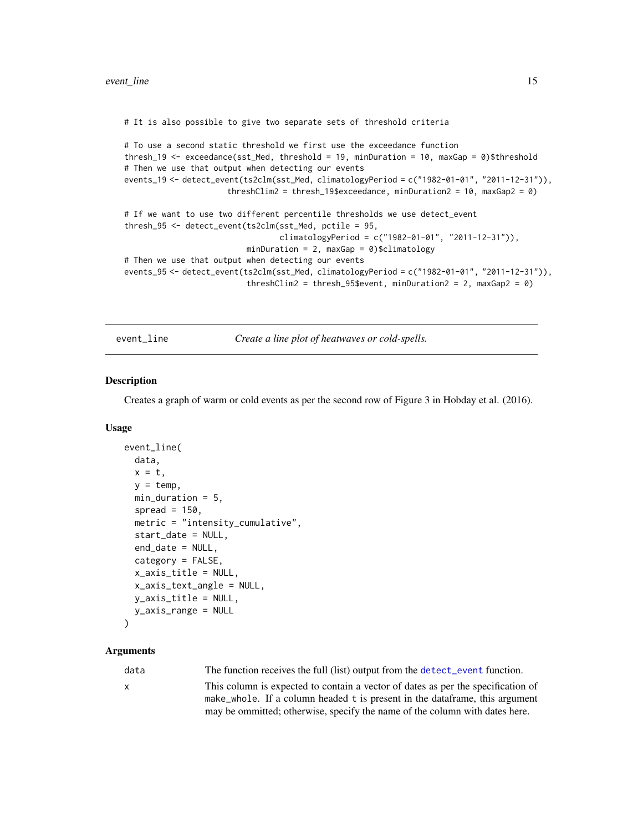<span id="page-14-0"></span># It is also possible to give two separate sets of threshold criteria

```
# To use a second static threshold we first use the exceedance function
thresh_19 <- exceedance(sst_Med, threshold = 19, minDuration = 10, maxGap = 0)$threshold
# Then we use that output when detecting our events
events_19 <- detect_event(ts2clm(sst_Med, climatologyPeriod = c("1982-01-01", "2011-12-31")),
                     threshClim2 = thresh_19$exceedance, minDuration2 = 10, maxGap2 = 0)
# If we want to use two different percentile thresholds we use detect_event
thresh_95 <- detect_event(ts2clm(sst_Med, pctile = 95,
                                 climatologyPeriod = c("1982-01-01", "2011-12-31")),
                          minDuration = 2, maxGap = 0)$climatology
# Then we use that output when detecting our events
events_95 <- detect_event(ts2clm(sst_Med, climatologyPeriod = c("1982-01-01", "2011-12-31")),
                          threshClim2 = thresh_95$event, minDuration2 = 2, maxGap2 = 0)
```
<span id="page-14-1"></span>event\_line *Create a line plot of heatwaves or cold-spells.*

#### Description

Creates a graph of warm or cold events as per the second row of Figure 3 in Hobday et al. (2016).

#### Usage

```
event_line(
  data,
  x = t,
 y = temp,
 min_duration = 5,
  spread = 150,
 metric = "intensity_cumulative",
  start_date = NULL,
  end_date = NULL,
  category = FALSE,
  x_axis_title = NULL,
  x_axis_text_angle = NULL,
 y_axis_title = NULL,
 y_axis_range = NULL
```
# )

#### Arguments

data The function receives the full (list) output from the [detect\\_event](#page-9-1) function.

x This column is expected to contain a vector of dates as per the specification of make\_whole. If a column headed t is present in the dataframe, this argument may be ommitted; otherwise, specify the name of the column with dates here.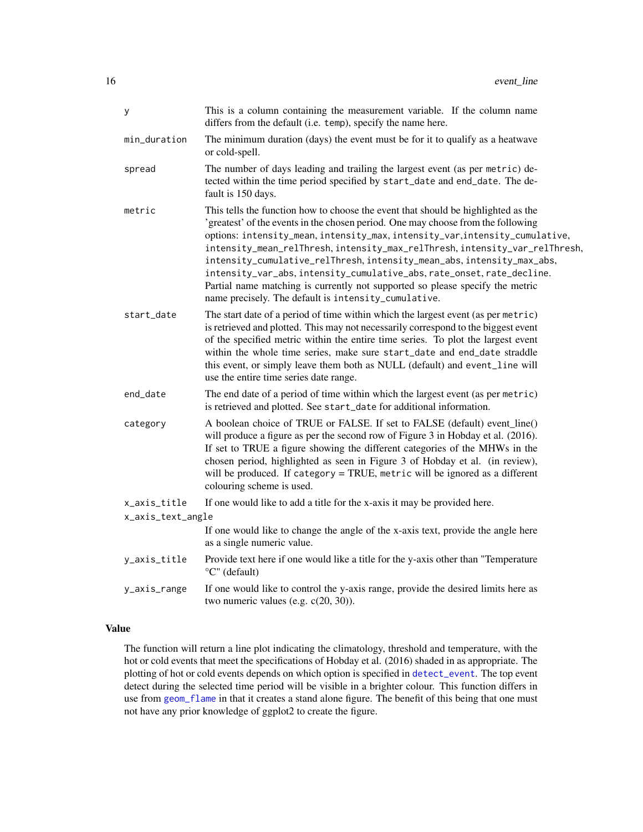<span id="page-15-0"></span>

| У                 | This is a column containing the measurement variable. If the column name<br>differs from the default (i.e. temp), specify the name here.                                                                                                                                                                                                                                                                                                                                                                                                                                                                                          |
|-------------------|-----------------------------------------------------------------------------------------------------------------------------------------------------------------------------------------------------------------------------------------------------------------------------------------------------------------------------------------------------------------------------------------------------------------------------------------------------------------------------------------------------------------------------------------------------------------------------------------------------------------------------------|
| min_duration      | The minimum duration (days) the event must be for it to qualify as a heatwave<br>or cold-spell.                                                                                                                                                                                                                                                                                                                                                                                                                                                                                                                                   |
| spread            | The number of days leading and trailing the largest event (as per metric) de-<br>tected within the time period specified by start_date and end_date. The de-<br>fault is 150 days.                                                                                                                                                                                                                                                                                                                                                                                                                                                |
| metric            | This tells the function how to choose the event that should be highlighted as the<br>'greatest' of the events in the chosen period. One may choose from the following<br>options: intensity_mean, intensity_max, intensity_var, intensity_cumulative,<br>intensity_mean_relThresh, intensity_max_relThresh, intensity_var_relThresh,<br>intensity_cumulative_relThresh, intensity_mean_abs, intensity_max_abs,<br>intensity_var_abs, intensity_cumulative_abs, rate_onset, rate_decline.<br>Partial name matching is currently not supported so please specify the metric<br>name precisely. The default is intensity_cumulative. |
| start_date        | The start date of a period of time within which the largest event (as per metric)<br>is retrieved and plotted. This may not necessarily correspond to the biggest event<br>of the specified metric within the entire time series. To plot the largest event<br>within the whole time series, make sure start_date and end_date straddle<br>this event, or simply leave them both as NULL (default) and event_line will<br>use the entire time series date range.                                                                                                                                                                  |
| end_date          | The end date of a period of time within which the largest event (as per metric)<br>is retrieved and plotted. See start_date for additional information.                                                                                                                                                                                                                                                                                                                                                                                                                                                                           |
| category          | A boolean choice of TRUE or FALSE. If set to FALSE (default) event_line()<br>will produce a figure as per the second row of Figure 3 in Hobday et al. (2016).<br>If set to TRUE a figure showing the different categories of the MHWs in the<br>chosen period, highlighted as seen in Figure 3 of Hobday et al. (in review),<br>will be produced. If category = TRUE, metric will be ignored as a different<br>colouring scheme is used.                                                                                                                                                                                          |
| x_axis_title      | If one would like to add a title for the x-axis it may be provided here.                                                                                                                                                                                                                                                                                                                                                                                                                                                                                                                                                          |
| x_axis_text_angle |                                                                                                                                                                                                                                                                                                                                                                                                                                                                                                                                                                                                                                   |
|                   | If one would like to change the angle of the x-axis text, provide the angle here<br>as a single numeric value.                                                                                                                                                                                                                                                                                                                                                                                                                                                                                                                    |
| y_axis_title      | Provide text here if one would like a title for the y-axis other than "Temperature"<br>°C" (default)                                                                                                                                                                                                                                                                                                                                                                                                                                                                                                                              |
| y_axis_range      | If one would like to control the y-axis range, provide the desired limits here as<br>two numeric values (e.g. $c(20, 30)$ ).                                                                                                                                                                                                                                                                                                                                                                                                                                                                                                      |

# Value

The function will return a line plot indicating the climatology, threshold and temperature, with the hot or cold events that meet the specifications of Hobday et al. (2016) shaded in as appropriate. The plotting of hot or cold events depends on which option is specified in [detect\\_event](#page-9-1). The top event detect during the selected time period will be visible in a brighter colour. This function differs in use from [geom\\_flame](#page-19-1) in that it creates a stand alone figure. The benefit of this being that one must not have any prior knowledge of ggplot2 to create the figure.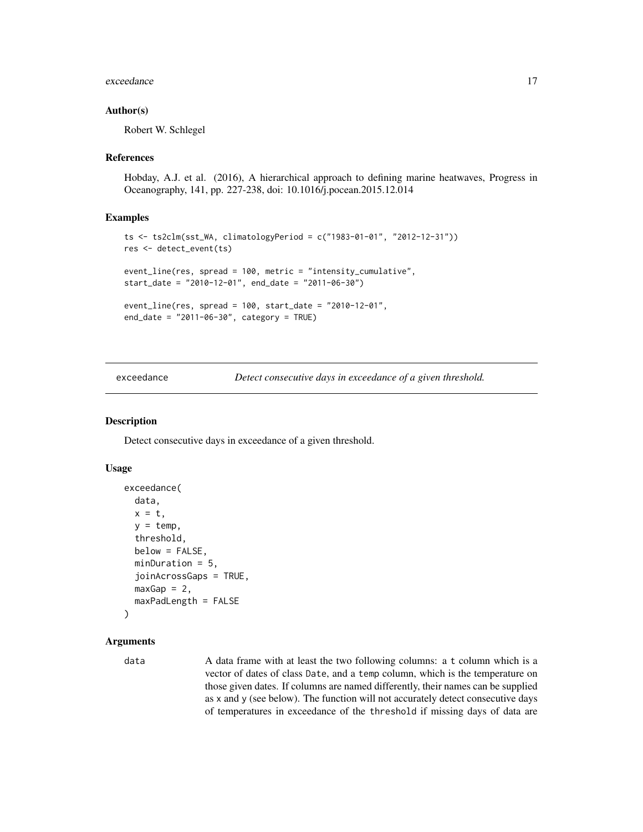#### <span id="page-16-0"></span>exceedance and the second state of the second state of the second state of the second state of the second state of the second state of the second state of the second state of the second state of the second state of the sec

#### Author(s)

Robert W. Schlegel

#### References

Hobday, A.J. et al. (2016), A hierarchical approach to defining marine heatwaves, Progress in Oceanography, 141, pp. 227-238, doi: 10.1016/j.pocean.2015.12.014

#### Examples

```
ts <- ts2clm(sst_WA, climatologyPeriod = c("1983-01-01", "2012-12-31"))
res <- detect_event(ts)
event_line(res, spread = 100, metric = "intensity_cumulative",
start_date = "2010-12-01", end_date = "2011-06-30")
event_line(res, spread = 100, start_date = "2010-12-01",
end_date = "2011-06-30", category = TRUE)
```
exceedance *Detect consecutive days in exceedance of a given threshold.*

#### Description

Detect consecutive days in exceedance of a given threshold.

#### Usage

```
exceedance(
  data,
  x = t,
  y = temp,threshold,
  below = FALSE,
  minDuration = 5,
  joinAcrossGaps = TRUE,
  maxGap = 2,
  maxPadLength = FALSE
\lambda
```
#### Arguments

data A data frame with at least the two following columns: a t column which is a vector of dates of class Date, and a temp column, which is the temperature on those given dates. If columns are named differently, their names can be supplied as x and y (see below). The function will not accurately detect consecutive days of temperatures in exceedance of the threshold if missing days of data are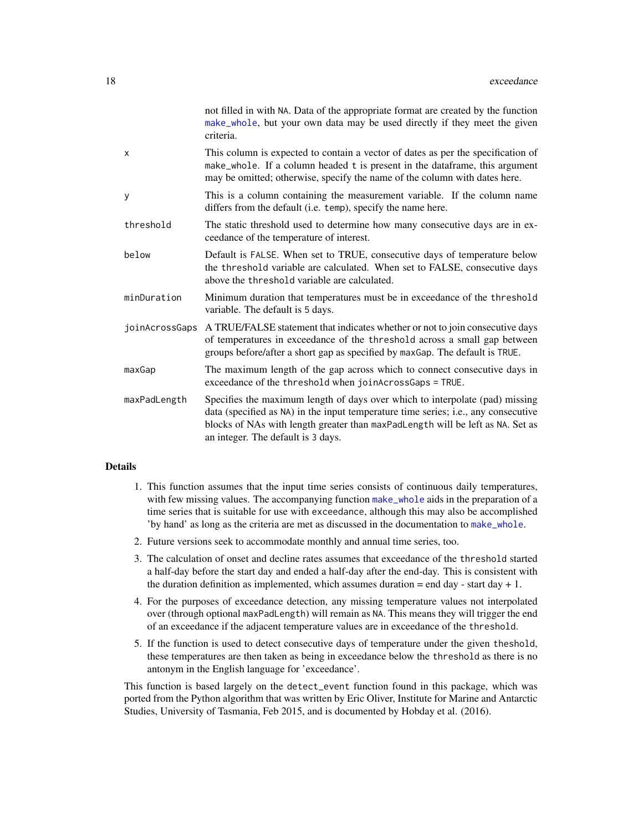<span id="page-17-0"></span>

|                | not filled in with NA. Data of the appropriate format are created by the function<br>make_whole, but your own data may be used directly if they meet the given<br>criteria.                                                                                                                |
|----------------|--------------------------------------------------------------------------------------------------------------------------------------------------------------------------------------------------------------------------------------------------------------------------------------------|
| X              | This column is expected to contain a vector of dates as per the specification of<br>make_whole. If a column headed t is present in the dataframe, this argument<br>may be omitted; otherwise, specify the name of the column with dates here.                                              |
| y              | This is a column containing the measurement variable. If the column name<br>differs from the default (i.e. temp), specify the name here.                                                                                                                                                   |
| threshold      | The static threshold used to determine how many consecutive days are in ex-<br>ceedance of the temperature of interest.                                                                                                                                                                    |
| below          | Default is FALSE. When set to TRUE, consecutive days of temperature below<br>the threshold variable are calculated. When set to FALSE, consecutive days<br>above the threshold variable are calculated.                                                                                    |
| minDuration    | Minimum duration that temperatures must be in exceedance of the threshold<br>variable. The default is 5 days.                                                                                                                                                                              |
| joinAcrossGaps | A TRUE/FALSE statement that indicates whether or not to join consecutive days<br>of temperatures in exceedance of the threshold across a small gap between<br>groups before/after a short gap as specified by maxGap. The default is TRUE.                                                 |
| maxGap         | The maximum length of the gap across which to connect consecutive days in<br>exceedance of the threshold when joinAcrossGaps = TRUE.                                                                                                                                                       |
| maxPadLength   | Specifies the maximum length of days over which to interpolate (pad) missing<br>data (specified as NA) in the input temperature time series; i.e., any consecutive<br>blocks of NAs with length greater than maxPadLength will be left as NA. Set as<br>an integer. The default is 3 days. |

#### Details

- 1. This function assumes that the input time series consists of continuous daily temperatures, with few missing values. The accompanying function [make\\_whole](#page-24-1) aids in the preparation of a time series that is suitable for use with exceedance, although this may also be accomplished 'by hand' as long as the criteria are met as discussed in the documentation to [make\\_whole](#page-24-1).
- 2. Future versions seek to accommodate monthly and annual time series, too.
- 3. The calculation of onset and decline rates assumes that exceedance of the threshold started a half-day before the start day and ended a half-day after the end-day. This is consistent with the duration definition as implemented, which assumes duration = end day - start day + 1.
- 4. For the purposes of exceedance detection, any missing temperature values not interpolated over (through optional maxPadLength) will remain as NA. This means they will trigger the end of an exceedance if the adjacent temperature values are in exceedance of the threshold.
- 5. If the function is used to detect consecutive days of temperature under the given theshold, these temperatures are then taken as being in exceedance below the threshold as there is no antonym in the English language for 'exceedance'.

This function is based largely on the detect\_event function found in this package, which was ported from the Python algorithm that was written by Eric Oliver, Institute for Marine and Antarctic Studies, University of Tasmania, Feb 2015, and is documented by Hobday et al. (2016).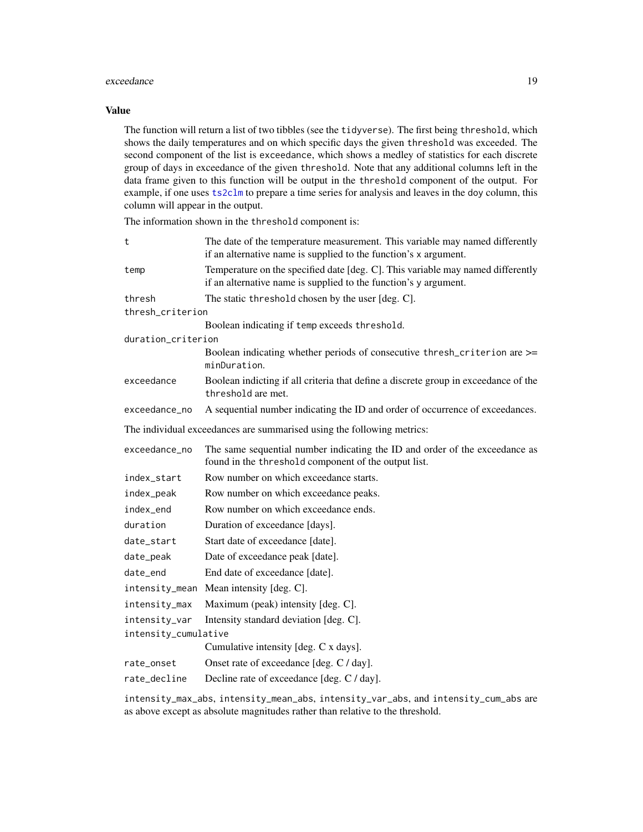#### <span id="page-18-0"></span>exceedance 19

#### Value

The function will return a list of two tibbles (see the tidyverse). The first being threshold, which shows the daily temperatures and on which specific days the given threshold was exceeded. The second component of the list is exceedance, which shows a medley of statistics for each discrete group of days in exceedance of the given threshold. Note that any additional columns left in the data frame given to this function will be output in the threshold component of the output. For example, if one uses [ts2clm](#page-31-1) to prepare a time series for analysis and leaves in the doy column, this column will appear in the output.

The information shown in the threshold component is:

| t                                                                      | The date of the temperature measurement. This variable may named differently<br>if an alternative name is supplied to the function's x argument.    |  |
|------------------------------------------------------------------------|-----------------------------------------------------------------------------------------------------------------------------------------------------|--|
| temp                                                                   | Temperature on the specified date [deg. C]. This variable may named differently<br>if an alternative name is supplied to the function's y argument. |  |
| thresh                                                                 | The static threshold chosen by the user [deg. C].                                                                                                   |  |
| thresh_criterion                                                       |                                                                                                                                                     |  |
|                                                                        | Boolean indicating if temp exceeds threshold.                                                                                                       |  |
| duration_criterion                                                     |                                                                                                                                                     |  |
|                                                                        | Boolean indicating whether periods of consecutive thresh_criterion are >=<br>minDuration.                                                           |  |
| exceedance                                                             | Boolean indicting if all criteria that define a discrete group in exceedance of the<br>threshold are met.                                           |  |
| exceedance_no                                                          | A sequential number indicating the ID and order of occurrence of exceedances.                                                                       |  |
| The individual exceedances are summarised using the following metrics: |                                                                                                                                                     |  |
| exceedance_no                                                          | The same sequential number indicating the ID and order of the exceedance as<br>found in the threshold component of the output list.                 |  |
| index_start                                                            | Row number on which exceedance starts.                                                                                                              |  |
| index_peak                                                             | Row number on which exceedance peaks.                                                                                                               |  |
| index_end                                                              | Row number on which exceedance ends.                                                                                                                |  |
| duration                                                               | Duration of exceedance [days].                                                                                                                      |  |
| date_start                                                             | Start date of exceedance [date].                                                                                                                    |  |
| date_peak                                                              | Date of exceedance peak [date].                                                                                                                     |  |
| date_end                                                               | End date of exceedance [date].                                                                                                                      |  |
| intensity_mean                                                         | Mean intensity [deg. C].                                                                                                                            |  |
| intensity_max                                                          | Maximum (peak) intensity [deg. C].                                                                                                                  |  |
| intensity_var                                                          | Intensity standard deviation [deg. C].                                                                                                              |  |
| intensity_cumulative                                                   |                                                                                                                                                     |  |
|                                                                        | Cumulative intensity [deg. C x days].                                                                                                               |  |
| rate_onset                                                             | Onset rate of exceedance [deg. C / day].                                                                                                            |  |
| rate_decline                                                           | Decline rate of exceedance [deg. C / day].                                                                                                          |  |
|                                                                        |                                                                                                                                                     |  |

intensity\_max\_abs, intensity\_mean\_abs, intensity\_var\_abs, and intensity\_cum\_abs are as above except as absolute magnitudes rather than relative to the threshold.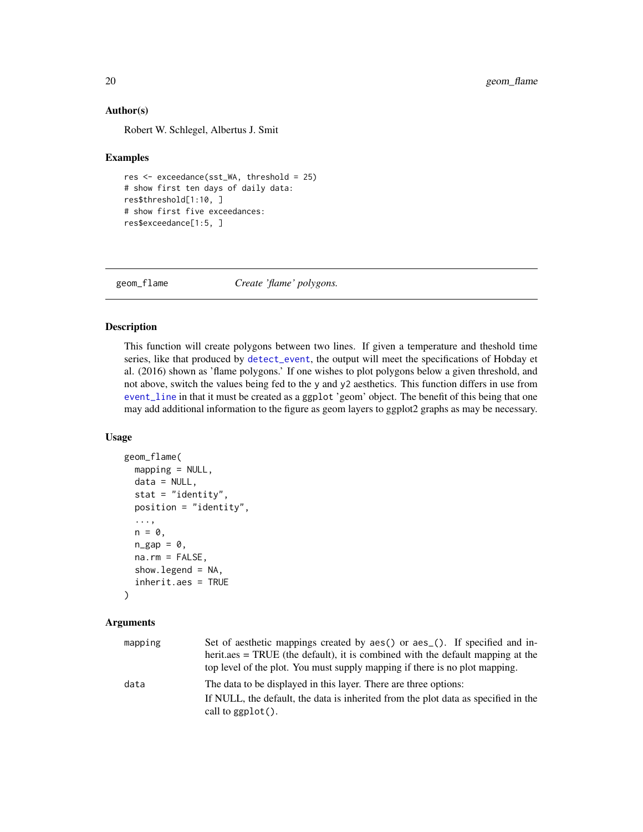#### Author(s)

Robert W. Schlegel, Albertus J. Smit

#### Examples

```
res <- exceedance(sst_WA, threshold = 25)
# show first ten days of daily data:
res$threshold[1:10, ]
# show first five exceedances:
res$exceedance[1:5, ]
```
<span id="page-19-1"></span>geom\_flame *Create 'flame' polygons.*

#### Description

This function will create polygons between two lines. If given a temperature and theshold time series, like that produced by [detect\\_event](#page-9-1), the output will meet the specifications of Hobday et al. (2016) shown as 'flame polygons.' If one wishes to plot polygons below a given threshold, and not above, switch the values being fed to the y and y2 aesthetics. This function differs in use from [event\\_line](#page-14-1) in that it must be created as a ggplot 'geom' object. The benefit of this being that one may add additional information to the figure as geom layers to ggplot2 graphs as may be necessary.

#### Usage

```
geom_flame(
 mapping = NULL,
 data = NULL,
  stat = "identity",
 position = "identity",
  ...,
 n = 0,
 n\_gap = 0,
 na.rm = FALSE,show.legend = NA,
  inherit.aes = TRUE
)
```
#### Arguments

| mapping | Set of aesthetic mappings created by aes() or aes (). If specified and in-         |
|---------|------------------------------------------------------------------------------------|
|         | herit, aes = TRUE (the default), it is combined with the default mapping at the    |
|         | top level of the plot. You must supply mapping if there is no plot mapping.        |
| data    | The data to be displayed in this layer. There are three options:                   |
|         | If NULL, the default, the data is inherited from the plot data as specified in the |
|         | call to $ggplot()$ .                                                               |

<span id="page-19-0"></span>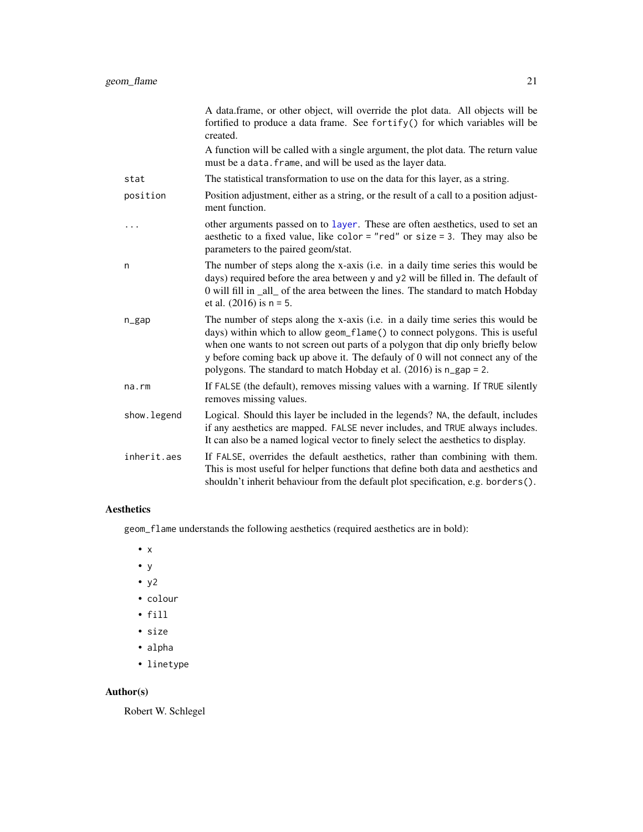<span id="page-20-0"></span>

|             | A data.frame, or other object, will override the plot data. All objects will be<br>fortified to produce a data frame. See fortify() for which variables will be<br>created.                                                                                                                                                                                                                                              |
|-------------|--------------------------------------------------------------------------------------------------------------------------------------------------------------------------------------------------------------------------------------------------------------------------------------------------------------------------------------------------------------------------------------------------------------------------|
|             | A function will be called with a single argument, the plot data. The return value<br>must be a data. frame, and will be used as the layer data.                                                                                                                                                                                                                                                                          |
| stat        | The statistical transformation to use on the data for this layer, as a string.                                                                                                                                                                                                                                                                                                                                           |
| position    | Position adjustment, either as a string, or the result of a call to a position adjust-<br>ment function.                                                                                                                                                                                                                                                                                                                 |
| .           | other arguments passed on to layer. These are often aesthetics, used to set an<br>aesthetic to a fixed value, like color = "red" or size = 3. They may also be<br>parameters to the paired geom/stat.                                                                                                                                                                                                                    |
| n           | The number of steps along the x-axis (i.e. in a daily time series this would be<br>days) required before the area between y and y2 will be filled in. The default of<br>0 will fill in _all_ of the area between the lines. The standard to match Hobday<br>et al. $(2016)$ is $n = 5$ .                                                                                                                                 |
| $n$ gap     | The number of steps along the x-axis (i.e. in a daily time series this would be<br>days) within which to allow geom_flame() to connect polygons. This is useful<br>when one wants to not screen out parts of a polygon that dip only briefly below<br>y before coming back up above it. The defauly of 0 will not connect any of the<br>polygons. The standard to match Hobday et al. $(2016)$ is $n_{\text{gap}} = 2$ . |
| na.rm       | If FALSE (the default), removes missing values with a warning. If TRUE silently<br>removes missing values.                                                                                                                                                                                                                                                                                                               |
| show.legend | Logical. Should this layer be included in the legends? NA, the default, includes<br>if any aesthetics are mapped. FALSE never includes, and TRUE always includes.<br>It can also be a named logical vector to finely select the aesthetics to display.                                                                                                                                                                   |
| inherit.aes | If FALSE, overrides the default aesthetics, rather than combining with them.<br>This is most useful for helper functions that define both data and aesthetics and<br>shouldn't inherit behaviour from the default plot specification, e.g. borders().                                                                                                                                                                    |

# Aesthetics

geom\_flame understands the following aesthetics (required aesthetics are in bold):

- x
- y
- y2
- colour
- fill
- size
- alpha
- linetype

# Author(s)

Robert W. Schlegel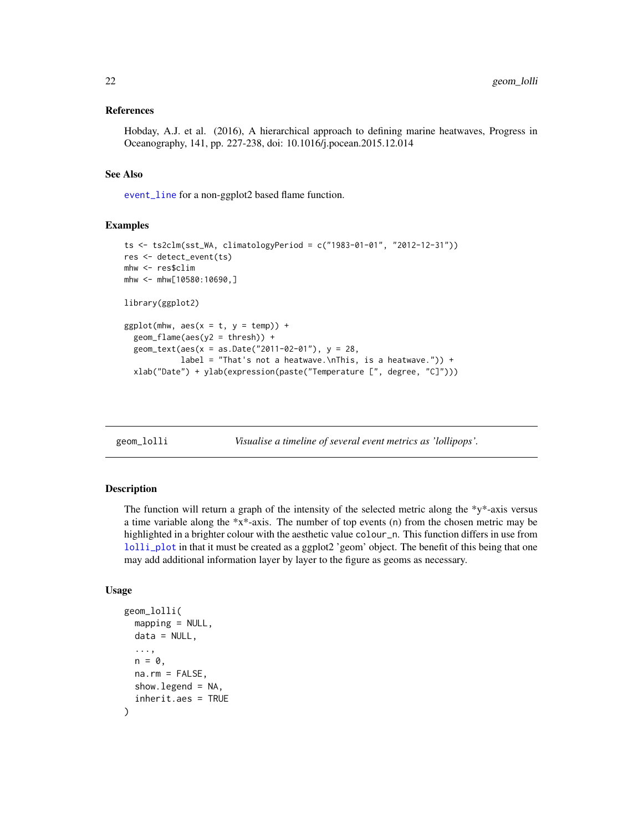#### <span id="page-21-0"></span>References

Hobday, A.J. et al. (2016), A hierarchical approach to defining marine heatwaves, Progress in Oceanography, 141, pp. 227-238, doi: 10.1016/j.pocean.2015.12.014

#### See Also

[event\\_line](#page-14-1) for a non-ggplot2 based flame function.

# Examples

```
ts <- ts2clm(sst_WA, climatologyPeriod = c("1983-01-01", "2012-12-31"))
res <- detect_event(ts)
mhw <- res$clim
mhw <- mhw[10580:10690,]
library(ggplot2)
ggplot(mhw, aes(x = t, y = temp)) +
  geom_flame(aes(y2 = thresh)) +
  geom_text(aes(x = as.Date("2011-02-01"), y = 28,
            label = "That's not a heatwave.\nThis, is a heatwave.")) +
  xlab("Date") + ylab(expression(paste("Temperature [", degree, "C]")))
```
<span id="page-21-1"></span>

geom\_lolli *Visualise a timeline of several event metrics as 'lollipops'.*

#### Description

The function will return a graph of the intensity of the selected metric along the  $\frac{1}{2}y^2 + 2xy$  versus a time variable along the \*x\*-axis. The number of top events (n) from the chosen metric may be highlighted in a brighter colour with the aesthetic value colour\_n. This function differs in use from [lolli\\_plot](#page-23-1) in that it must be created as a ggplot2 'geom' object. The benefit of this being that one may add additional information layer by layer to the figure as geoms as necessary.

#### Usage

```
geom_lolli(
  mapping = NULL,data = NULL,...,
 n = 0,
  na.rm = FALSE,
  show.legend = NA,
  inherit.aes = TRUE
)
```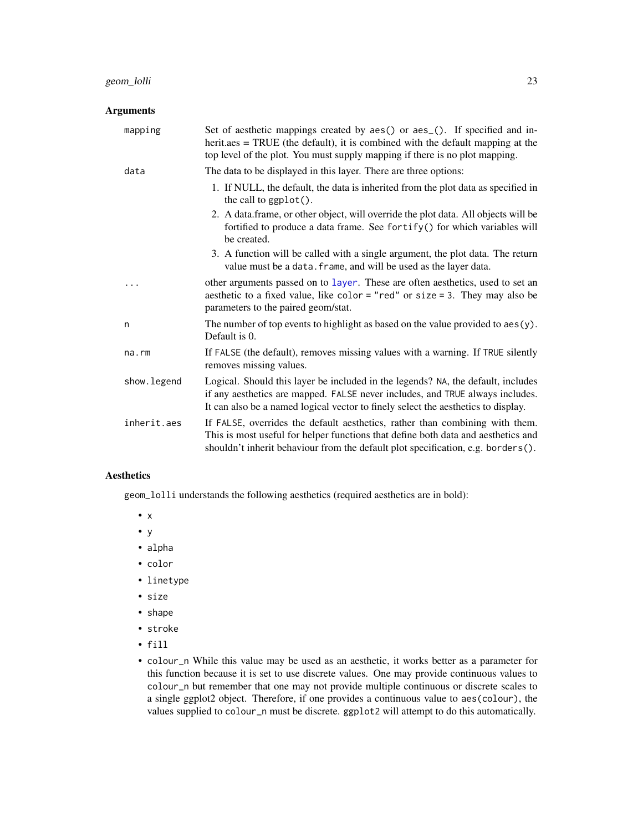## <span id="page-22-0"></span>Arguments

| mapping     | Set of aesthetic mappings created by aes() or aes_(). If specified and in-<br>$herit. aes = TRUE$ (the default), it is combined with the default mapping at the<br>top level of the plot. You must supply mapping if there is no plot mapping.         |  |
|-------------|--------------------------------------------------------------------------------------------------------------------------------------------------------------------------------------------------------------------------------------------------------|--|
| data        | The data to be displayed in this layer. There are three options:                                                                                                                                                                                       |  |
|             | 1. If NULL, the default, the data is inherited from the plot data as specified in<br>the call to $ggplot()$ .                                                                                                                                          |  |
|             | 2. A data frame, or other object, will override the plot data. All objects will be<br>fortified to produce a data frame. See fortify() for which variables will<br>be created.                                                                         |  |
|             | 3. A function will be called with a single argument, the plot data. The return<br>value must be a data. frame, and will be used as the layer data.                                                                                                     |  |
|             | other arguments passed on to layer. These are often aesthetics, used to set an<br>aesthetic to a fixed value, like color = "red" or size = 3. They may also be<br>parameters to the paired geom/stat.                                                  |  |
| n           | The number of top events to highlight as based on the value provided to $aes(y)$ .<br>Default is 0.                                                                                                                                                    |  |
| na.rm       | If FALSE (the default), removes missing values with a warning. If TRUE silently<br>removes missing values.                                                                                                                                             |  |
| show.legend | Logical. Should this layer be included in the legends? NA, the default, includes<br>if any aesthetics are mapped. FALSE never includes, and TRUE always includes.<br>It can also be a named logical vector to finely select the aesthetics to display. |  |
| inherit.aes | If FALSE, overrides the default aesthetics, rather than combining with them.<br>This is most useful for helper functions that define both data and aesthetics and<br>shouldn't inherit behaviour from the default plot specification, e.g. borders().  |  |

# Aesthetics

geom\_lolli understands the following aesthetics (required aesthetics are in bold):

- x
- y
- alpha
- color
- linetype
- size
- shape
- stroke
- fill
- colour\_n While this value may be used as an aesthetic, it works better as a parameter for this function because it is set to use discrete values. One may provide continuous values to colour\_n but remember that one may not provide multiple continuous or discrete scales to a single ggplot2 object. Therefore, if one provides a continuous value to aes(colour), the values supplied to colour\_n must be discrete. ggplot2 will attempt to do this automatically.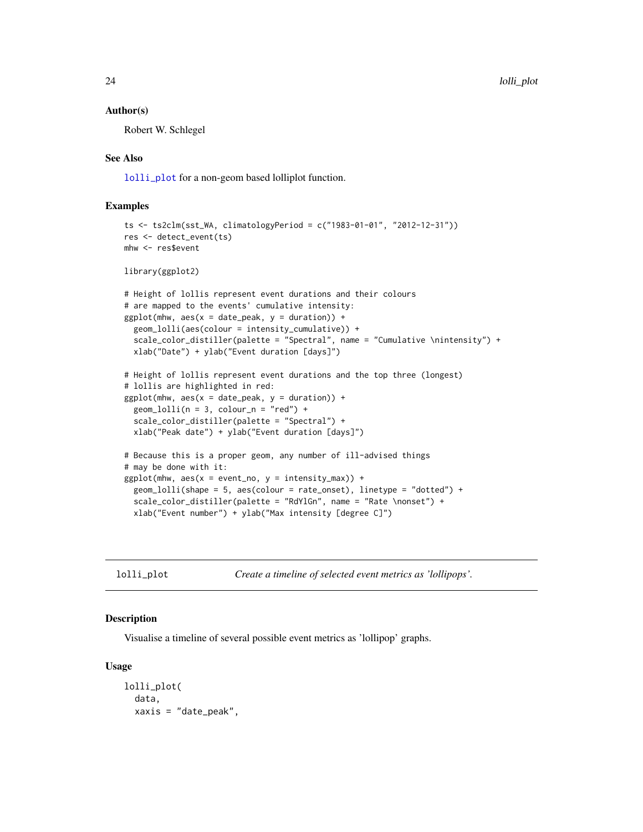#### <span id="page-23-0"></span>Author(s)

Robert W. Schlegel

#### See Also

[lolli\\_plot](#page-23-1) for a non-geom based lolliplot function.

#### Examples

```
ts <- ts2clm(sst_WA, climatologyPeriod = c("1983-01-01", "2012-12-31"))
res <- detect_event(ts)
mhw <- res$event
library(ggplot2)
# Height of lollis represent event durations and their colours
# are mapped to the events' cumulative intensity:
ggplot(mhw, aes(x = date_peak, y = duration)) +geom_lolli(aes(colour = intensity_cumulative)) +
  scale_color_distiller(palette = "Spectral", name = "Cumulative \nintensity") +
  xlab("Date") + ylab("Event duration [days]")
# Height of lollis represent event durations and the top three (longest)
# lollis are highlighted in red:
ggplot(mhw, aes(x = date_peak, y = duration)) +geom\_lolli(n = 3, colour_n = "red") +scale_color_distiller(palette = "Spectral") +
  xlab("Peak date") + ylab("Event duration [days]")
# Because this is a proper geom, any number of ill-advised things
# may be done with it:
ggplot(mhw, aes(x = event-no, y = intensity_max)) +geom_lolli(shape = 5, aes(colour = rate_onset), linetype = "dotted") +
  scale_color_distiller(palette = "RdYlGn", name = "Rate \nonset") +
  xlab("Event number") + ylab("Max intensity [degree C]")
```
<span id="page-23-1"></span>

lolli\_plot *Create a timeline of selected event metrics as 'lollipops'.*

#### Description

Visualise a timeline of several possible event metrics as 'lollipop' graphs.

#### Usage

```
lolli_plot(
  data,
  xaxis = "date_peak",
```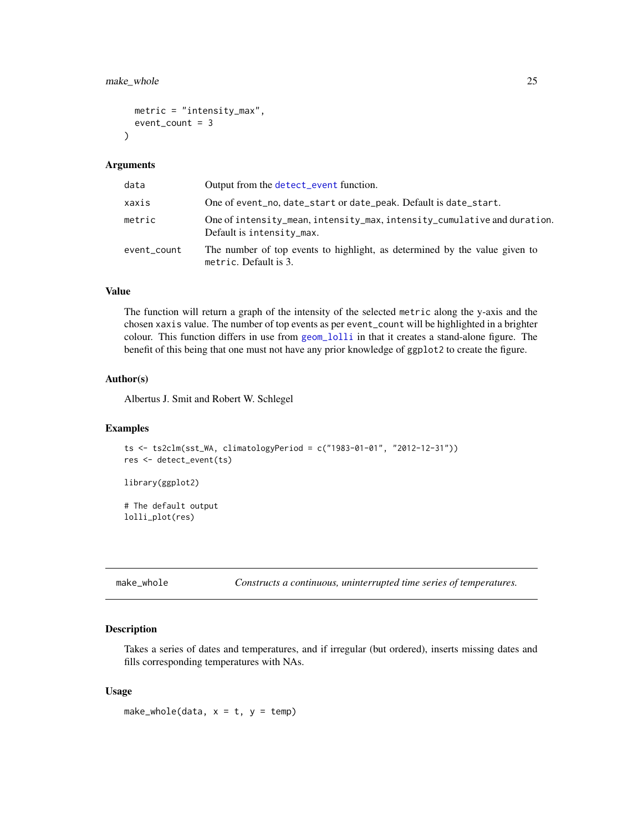# <span id="page-24-0"></span>make\_whole 25

```
metric = "intensity_max",
  event_count = 3\lambda
```
#### Arguments

| data        | Output from the detect_event function.                                                                |  |
|-------------|-------------------------------------------------------------------------------------------------------|--|
| xaxis       | One of event_no, date_start or date_peak. Default is date_start.                                      |  |
| metric      | One of intensity_mean, intensity_max, intensity_cumulative and duration.<br>Default is intensity_max. |  |
| event_count | The number of top events to highlight, as determined by the value given to<br>metric. Default is 3.   |  |

# Value

The function will return a graph of the intensity of the selected metric along the y-axis and the chosen xaxis value. The number of top events as per event\_count will be highlighted in a brighter colour. This function differs in use from [geom\\_lolli](#page-21-1) in that it creates a stand-alone figure. The benefit of this being that one must not have any prior knowledge of ggplot2 to create the figure.

#### Author(s)

Albertus J. Smit and Robert W. Schlegel

#### Examples

```
ts <- ts2clm(sst_WA, climatologyPeriod = c("1983-01-01", "2012-12-31"))
res <- detect_event(ts)
library(ggplot2)
```
# The default output lolli\_plot(res)

<span id="page-24-1"></span>make\_whole *Constructs a continuous, uninterrupted time series of temperatures.*

#### Description

Takes a series of dates and temperatures, and if irregular (but ordered), inserts missing dates and fills corresponding temperatures with NAs.

#### Usage

make\_whole(data,  $x = t$ ,  $y = temp$ )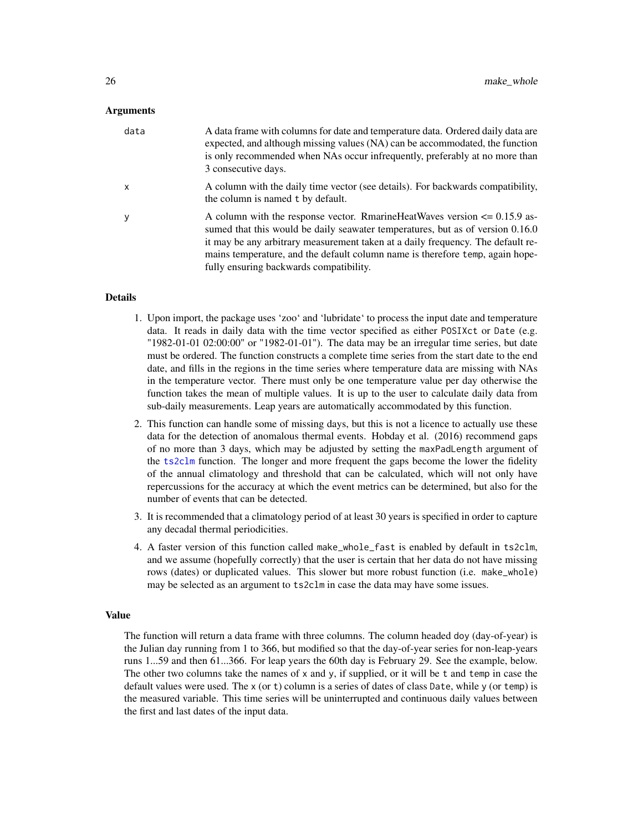#### <span id="page-25-0"></span>Arguments

| data | A data frame with columns for date and temperature data. Ordered daily data are<br>expected, and although missing values (NA) can be accommodated, the function<br>is only recommended when NAs occur infrequently, preferably at no more than<br>3 consecutive days.                                                                                                          |
|------|--------------------------------------------------------------------------------------------------------------------------------------------------------------------------------------------------------------------------------------------------------------------------------------------------------------------------------------------------------------------------------|
| X    | A column with the daily time vector (see details). For backwards compatibility,<br>the column is named t by default.                                                                                                                                                                                                                                                           |
|      | A column with the response vector. RmarineHeatWaves version $\leq 0.15.9$ as-<br>sumed that this would be daily seawater temperatures, but as of version 0.16.0<br>it may be any arbitrary measurement taken at a daily frequency. The default re-<br>mains temperature, and the default column name is therefore temp, again hope-<br>fully ensuring backwards compatibility. |

# **Details**

- 1. Upon import, the package uses 'zoo' and 'lubridate' to process the input date and temperature data. It reads in daily data with the time vector specified as either POSIXct or Date (e.g. "1982-01-01 02:00:00" or "1982-01-01"). The data may be an irregular time series, but date must be ordered. The function constructs a complete time series from the start date to the end date, and fills in the regions in the time series where temperature data are missing with NAs in the temperature vector. There must only be one temperature value per day otherwise the function takes the mean of multiple values. It is up to the user to calculate daily data from sub-daily measurements. Leap years are automatically accommodated by this function.
- 2. This function can handle some of missing days, but this is not a licence to actually use these data for the detection of anomalous thermal events. Hobday et al. (2016) recommend gaps of no more than 3 days, which may be adjusted by setting the maxPadLength argument of the [ts2clm](#page-31-1) function. The longer and more frequent the gaps become the lower the fidelity of the annual climatology and threshold that can be calculated, which will not only have repercussions for the accuracy at which the event metrics can be determined, but also for the number of events that can be detected.
- 3. It is recommended that a climatology period of at least 30 years is specified in order to capture any decadal thermal periodicities.
- 4. A faster version of this function called make\_whole\_fast is enabled by default in ts2clm, and we assume (hopefully correctly) that the user is certain that her data do not have missing rows (dates) or duplicated values. This slower but more robust function (i.e. make\_whole) may be selected as an argument to ts2clm in case the data may have some issues.

#### Value

The function will return a data frame with three columns. The column headed doy (day-of-year) is the Julian day running from 1 to 366, but modified so that the day-of-year series for non-leap-years runs 1...59 and then 61...366. For leap years the 60th day is February 29. See the example, below. The other two columns take the names of  $x$  and  $y$ , if supplied, or it will be t and temp in case the default values were used. The x (or t) column is a series of dates of class Date, while y (or temp) is the measured variable. This time series will be uninterrupted and continuous daily values between the first and last dates of the input data.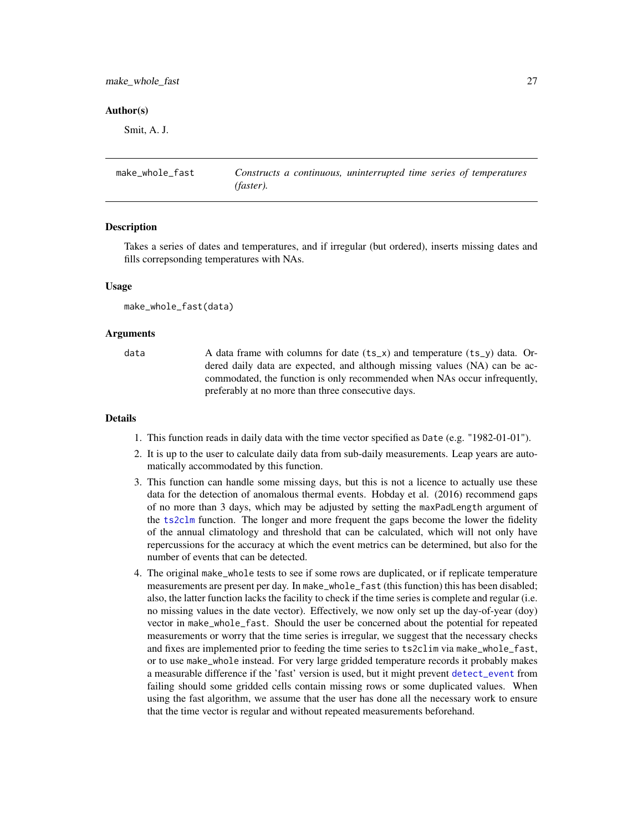<span id="page-26-0"></span>make\_whole\_fast 27

#### Author(s)

Smit, A. J.

make\_whole\_fast *Constructs a continuous, uninterrupted time series of temperatures (faster).*

#### Description

Takes a series of dates and temperatures, and if irregular (but ordered), inserts missing dates and fills correpsonding temperatures with NAs.

#### Usage

```
make_whole_fast(data)
```
#### Arguments

data A data frame with columns for date  $(ts_{x})$  and temperature  $(ts_{y})$  data. Ordered daily data are expected, and although missing values (NA) can be accommodated, the function is only recommended when NAs occur infrequently, preferably at no more than three consecutive days.

#### Details

- 1. This function reads in daily data with the time vector specified as Date (e.g. "1982-01-01").
- 2. It is up to the user to calculate daily data from sub-daily measurements. Leap years are automatically accommodated by this function.
- 3. This function can handle some missing days, but this is not a licence to actually use these data for the detection of anomalous thermal events. Hobday et al. (2016) recommend gaps of no more than 3 days, which may be adjusted by setting the maxPadLength argument of the [ts2clm](#page-31-1) function. The longer and more frequent the gaps become the lower the fidelity of the annual climatology and threshold that can be calculated, which will not only have repercussions for the accuracy at which the event metrics can be determined, but also for the number of events that can be detected.
- 4. The original make\_whole tests to see if some rows are duplicated, or if replicate temperature measurements are present per day. In make\_whole\_fast (this function) this has been disabled; also, the latter function lacks the facility to check if the time series is complete and regular (i.e. no missing values in the date vector). Effectively, we now only set up the day-of-year (doy) vector in make\_whole\_fast. Should the user be concerned about the potential for repeated measurements or worry that the time series is irregular, we suggest that the necessary checks and fixes are implemented prior to feeding the time series to ts2clim via make\_whole\_fast, or to use make\_whole instead. For very large gridded temperature records it probably makes a measurable difference if the 'fast' version is used, but it might prevent [detect\\_event](#page-9-1) from failing should some gridded cells contain missing rows or some duplicated values. When using the fast algorithm, we assume that the user has done all the necessary work to ensure that the time vector is regular and without repeated measurements beforehand.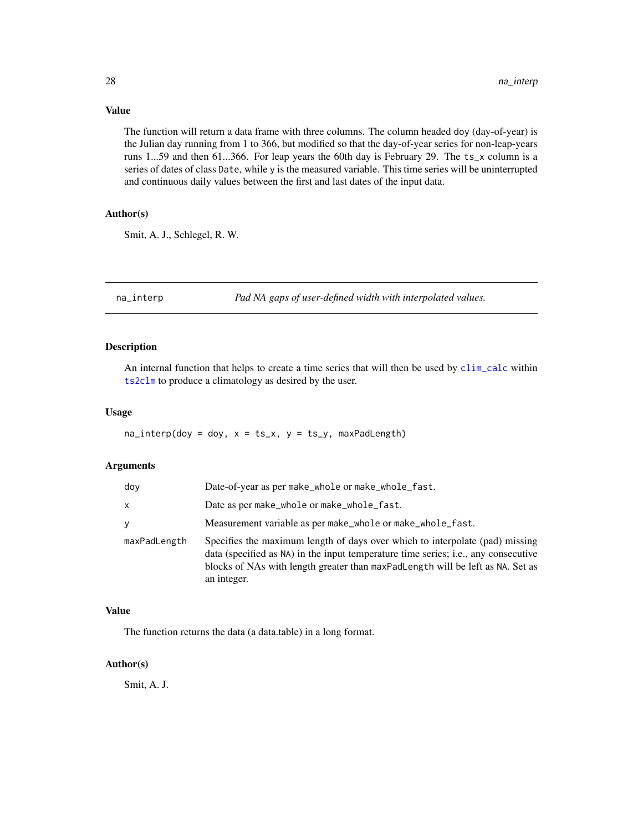# Value

The function will return a data frame with three columns. The column headed doy (day-of-year) is the Julian day running from 1 to 366, but modified so that the day-of-year series for non-leap-years runs 1...59 and then 61...366. For leap years the 60th day is February 29. The ts\_x column is a series of dates of class Date, while y is the measured variable. This time series will be uninterrupted and continuous daily values between the first and last dates of the input data.

# Author(s)

Smit, A. J., Schlegel, R. W.

na\_interp *Pad NA gaps of user-defined width with interpolated values.*

# Description

An internal function that helps to create a time series that will then be used by [clim\\_calc](#page-7-1) within [ts2clm](#page-31-1) to produce a climatology as desired by the user.

#### Usage

 $na\_interp(doy = doy, x = ts_x, y = ts_y, maxPadLength)$ 

#### Arguments

| doy          | Date-of-year as per make_whole or make_whole_fast.                                                                                                                                                                                                                  |  |
|--------------|---------------------------------------------------------------------------------------------------------------------------------------------------------------------------------------------------------------------------------------------------------------------|--|
| x            | Date as per make_whole or make_whole_fast.                                                                                                                                                                                                                          |  |
| y            | Measurement variable as per make_whole or make_whole_fast.                                                                                                                                                                                                          |  |
| maxPadLength | Specifies the maximum length of days over which to interpolate (pad) missing<br>data (specified as NA) in the input temperature time series; i.e., any consecutive<br>blocks of NAs with length greater than maxPadLength will be left as NA. Set as<br>an integer. |  |

# Value

The function returns the data (a data.table) in a long format.

# Author(s)

Smit, A. J.

<span id="page-27-0"></span>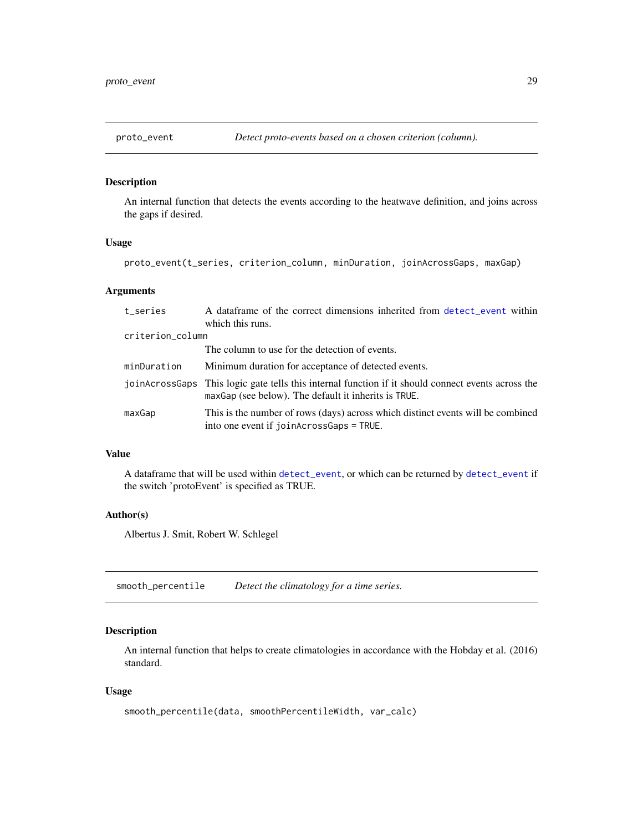<span id="page-28-0"></span>

#### Description

An internal function that detects the events according to the heatwave definition, and joins across the gaps if desired.

# Usage

proto\_event(t\_series, criterion\_column, minDuration, joinAcrossGaps, maxGap)

#### Arguments

| t_series         | A dataframe of the correct dimensions inherited from detect_event within<br>which this runs.                                                               |  |
|------------------|------------------------------------------------------------------------------------------------------------------------------------------------------------|--|
| criterion_column |                                                                                                                                                            |  |
|                  | The column to use for the detection of events.                                                                                                             |  |
| minDuration      | Minimum duration for acceptance of detected events.                                                                                                        |  |
|                  | joinAcrossGaps This logic gate tells this internal function if it should connect events across the<br>maxGap (see below). The default it inherits is TRUE. |  |
| maxGap           | This is the number of rows (days) across which distinct events will be combined<br>into one event if joinAcrossGaps = TRUE.                                |  |

# Value

A dataframe that will be used within [detect\\_event](#page-9-1), or which can be returned by [detect\\_event](#page-9-1) if the switch 'protoEvent' is specified as TRUE.

#### Author(s)

Albertus J. Smit, Robert W. Schlegel

smooth\_percentile *Detect the climatology for a time series.*

# Description

An internal function that helps to create climatologies in accordance with the Hobday et al. (2016) standard.

#### Usage

```
smooth_percentile(data, smoothPercentileWidth, var_calc)
```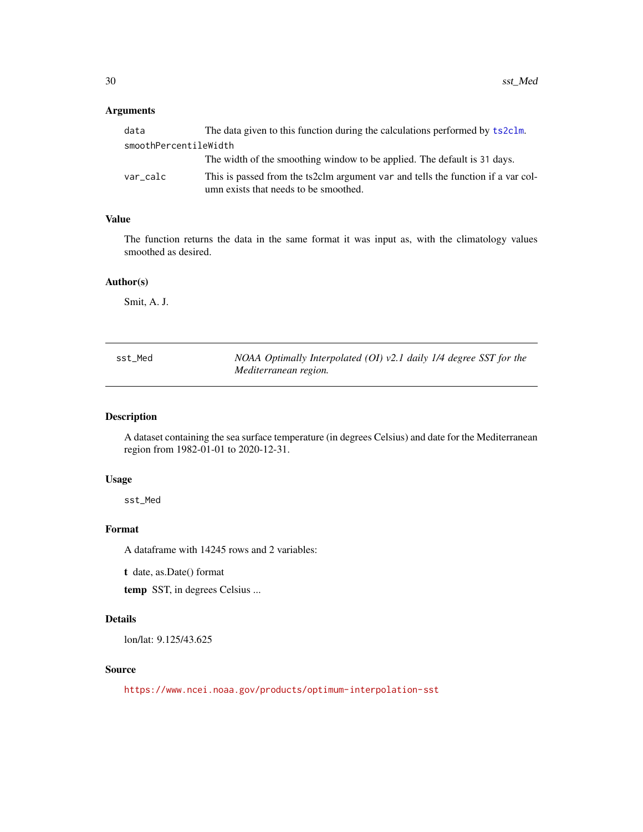# <span id="page-29-0"></span>Arguments

| data                  | The data given to this function during the calculations performed by ts2c1m.     |  |
|-----------------------|----------------------------------------------------------------------------------|--|
| smoothPercentileWidth |                                                                                  |  |
|                       | The width of the smoothing window to be applied. The default is 31 days.         |  |
| var calc              | This is passed from the ts2clm argument var and tells the function if a var col- |  |
|                       | umn exists that needs to be smoothed.                                            |  |

# Value

The function returns the data in the same format it was input as, with the climatology values smoothed as desired.

#### Author(s)

Smit, A. J.

| sst_Med | NOAA Optimally Interpolated (OI) $v2.1$ daily 1/4 degree SST for the |
|---------|----------------------------------------------------------------------|
|         | Mediterranean region.                                                |

# Description

A dataset containing the sea surface temperature (in degrees Celsius) and date for the Mediterranean region from 1982-01-01 to 2020-12-31.

#### Usage

sst\_Med

#### Format

A dataframe with 14245 rows and 2 variables:

t date, as.Date() format

temp SST, in degrees Celsius ...

# Details

lon/lat: 9.125/43.625

## Source

<https://www.ncei.noaa.gov/products/optimum-interpolation-sst>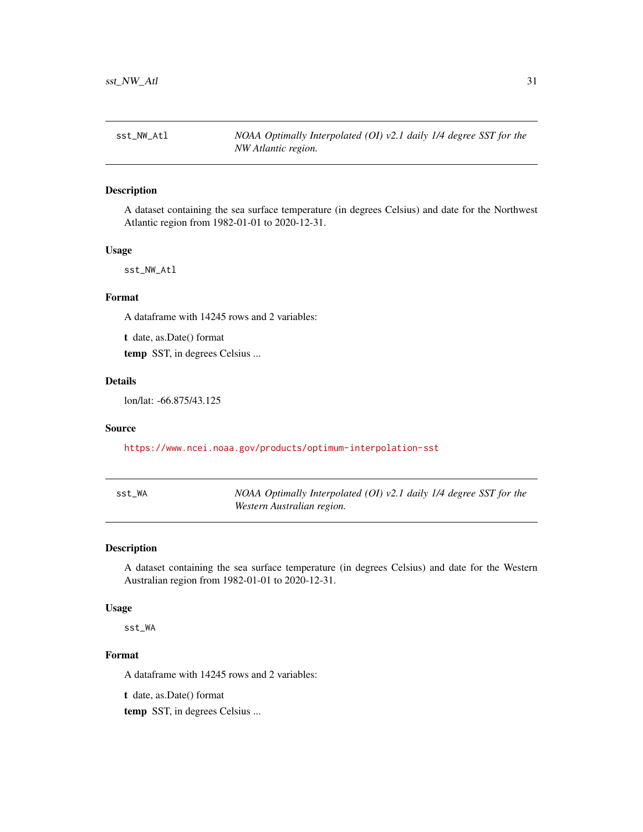<span id="page-30-0"></span>

# Description

A dataset containing the sea surface temperature (in degrees Celsius) and date for the Northwest Atlantic region from 1982-01-01 to 2020-12-31.

#### Usage

sst\_NW\_Atl

# Format

A dataframe with 14245 rows and 2 variables:

t date, as.Date() format

temp SST, in degrees Celsius ...

# Details

lon/lat: -66.875/43.125

#### Source

<https://www.ncei.noaa.gov/products/optimum-interpolation-sst>

| sst WA | NOAA Optimally Interpolated (OI) $v2.1$ daily 1/4 degree SST for the |
|--------|----------------------------------------------------------------------|
|        | Western Australian region.                                           |

#### Description

A dataset containing the sea surface temperature (in degrees Celsius) and date for the Western Australian region from 1982-01-01 to 2020-12-31.

# Usage

sst\_WA

## Format

A dataframe with 14245 rows and 2 variables:

t date, as.Date() format

temp SST, in degrees Celsius ...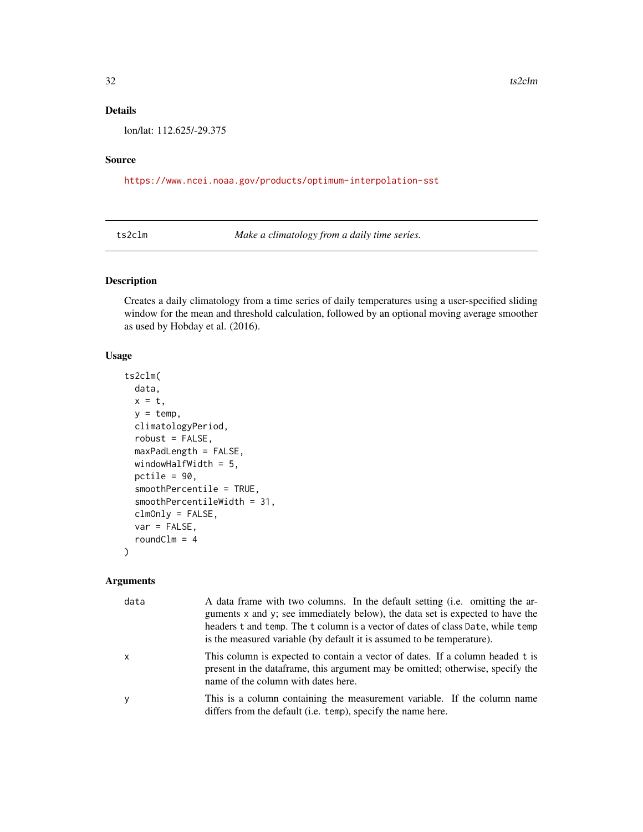# <span id="page-31-0"></span>Details

lon/lat: 112.625/-29.375

# Source

<https://www.ncei.noaa.gov/products/optimum-interpolation-sst>

<span id="page-31-1"></span>ts2clm *Make a climatology from a daily time series.*

# Description

Creates a daily climatology from a time series of daily temperatures using a user-specified sliding window for the mean and threshold calculation, followed by an optional moving average smoother as used by Hobday et al. (2016).

#### Usage

```
ts2clm(
  data,
 x = t,
 y = temp,climatologyPeriod,
  robust = FALSE,
 maxPadLength = FALSE,
 windowHalfWidth = 5,
  pctile = 90,
  smoothPercentile = TRUE,
  smoothPercentileWidth = 31,
  clmOnly = FALSE,
  var = FALSE,roundClm = 4
)
```
#### Arguments

| data         | A data frame with two columns. In the default setting (i.e. omitting the ar-<br>guments x and y; see immediately below), the data set is expected to have the<br>headers t and temp. The t column is a vector of dates of class Date, while temp<br>is the measured variable (by default it is assumed to be temperature). |
|--------------|----------------------------------------------------------------------------------------------------------------------------------------------------------------------------------------------------------------------------------------------------------------------------------------------------------------------------|
| $\mathsf{x}$ | This column is expected to contain a vector of dates. If a column headed t is<br>present in the dataframe, this argument may be omitted; otherwise, specify the<br>name of the column with dates here.                                                                                                                     |
| <b>V</b>     | This is a column containing the measurement variable. If the column name<br>differs from the default (i.e. temp), specify the name here.                                                                                                                                                                                   |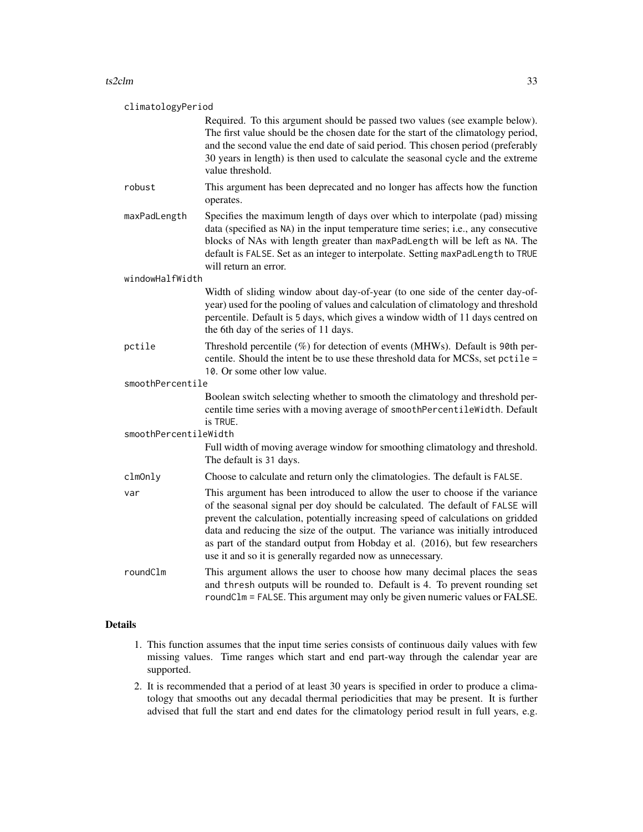#### $ts2clm$   $33$

| climatologyPeriod     |                                                                                                                                                                                                                                                                                                                                                                                                                                                                                       |  |
|-----------------------|---------------------------------------------------------------------------------------------------------------------------------------------------------------------------------------------------------------------------------------------------------------------------------------------------------------------------------------------------------------------------------------------------------------------------------------------------------------------------------------|--|
|                       | Required. To this argument should be passed two values (see example below).<br>The first value should be the chosen date for the start of the climatology period,<br>and the second value the end date of said period. This chosen period (preferably<br>30 years in length) is then used to calculate the seasonal cycle and the extreme<br>value threshold.                                                                                                                         |  |
| robust                | This argument has been deprecated and no longer has affects how the function<br>operates.                                                                                                                                                                                                                                                                                                                                                                                             |  |
| maxPadLength          | Specifies the maximum length of days over which to interpolate (pad) missing<br>data (specified as NA) in the input temperature time series; i.e., any consecutive<br>blocks of NAs with length greater than maxPadLength will be left as NA. The<br>default is FALSE. Set as an integer to interpolate. Setting maxPadLength to TRUE<br>will return an error.                                                                                                                        |  |
| windowHalfWidth       |                                                                                                                                                                                                                                                                                                                                                                                                                                                                                       |  |
|                       | Width of sliding window about day-of-year (to one side of the center day-of-<br>year) used for the pooling of values and calculation of climatology and threshold<br>percentile. Default is 5 days, which gives a window width of 11 days centred on<br>the 6th day of the series of 11 days.                                                                                                                                                                                         |  |
| pctile                | Threshold percentile (%) for detection of events (MHWs). Default is 90th per-<br>centile. Should the intent be to use these threshold data for MCSs, set pctile =<br>10. Or some other low value.                                                                                                                                                                                                                                                                                     |  |
| smoothPercentile      |                                                                                                                                                                                                                                                                                                                                                                                                                                                                                       |  |
|                       | Boolean switch selecting whether to smooth the climatology and threshold per-<br>centile time series with a moving average of smoothPercentileWidth. Default<br>is TRUE.                                                                                                                                                                                                                                                                                                              |  |
| smoothPercentileWidth |                                                                                                                                                                                                                                                                                                                                                                                                                                                                                       |  |
|                       | Full width of moving average window for smoothing climatology and threshold.<br>The default is 31 days.                                                                                                                                                                                                                                                                                                                                                                               |  |
| clmOnly               | Choose to calculate and return only the climatologies. The default is FALSE.                                                                                                                                                                                                                                                                                                                                                                                                          |  |
| var                   | This argument has been introduced to allow the user to choose if the variance<br>of the seasonal signal per doy should be calculated. The default of FALSE will<br>prevent the calculation, potentially increasing speed of calculations on gridded<br>data and reducing the size of the output. The variance was initially introduced<br>as part of the standard output from Hobday et al. (2016), but few researchers<br>use it and so it is generally regarded now as unnecessary. |  |
| roundClm              | This argument allows the user to choose how many decimal places the seas<br>and thresh outputs will be rounded to. Default is 4. To prevent rounding set<br>roundClm = FALSE. This argument may only be given numeric values or FALSE.                                                                                                                                                                                                                                                |  |

# Details

- 1. This function assumes that the input time series consists of continuous daily values with few missing values. Time ranges which start and end part-way through the calendar year are supported.
- 2. It is recommended that a period of at least 30 years is specified in order to produce a climatology that smooths out any decadal thermal periodicities that may be present. It is further advised that full the start and end dates for the climatology period result in full years, e.g.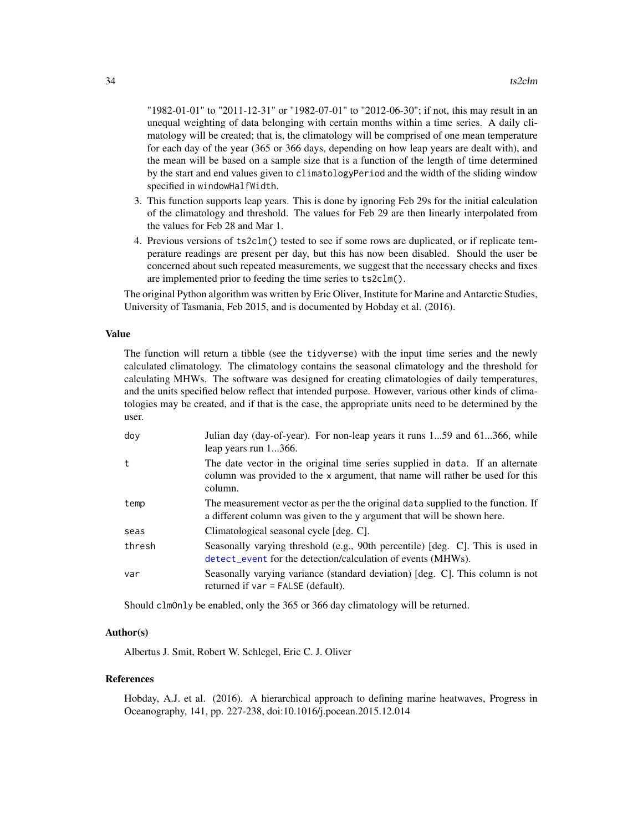<span id="page-33-0"></span>"1982-01-01" to "2011-12-31" or "1982-07-01" to "2012-06-30"; if not, this may result in an unequal weighting of data belonging with certain months within a time series. A daily climatology will be created; that is, the climatology will be comprised of one mean temperature for each day of the year (365 or 366 days, depending on how leap years are dealt with), and the mean will be based on a sample size that is a function of the length of time determined by the start and end values given to climatologyPeriod and the width of the sliding window specified in windowHalfWidth.

- 3. This function supports leap years. This is done by ignoring Feb 29s for the initial calculation of the climatology and threshold. The values for Feb 29 are then linearly interpolated from the values for Feb 28 and Mar 1.
- 4. Previous versions of ts2clm() tested to see if some rows are duplicated, or if replicate temperature readings are present per day, but this has now been disabled. Should the user be concerned about such repeated measurements, we suggest that the necessary checks and fixes are implemented prior to feeding the time series to ts2clm().

The original Python algorithm was written by Eric Oliver, Institute for Marine and Antarctic Studies, University of Tasmania, Feb 2015, and is documented by Hobday et al. (2016).

#### Value

The function will return a tibble (see the tidyverse) with the input time series and the newly calculated climatology. The climatology contains the seasonal climatology and the threshold for calculating MHWs. The software was designed for creating climatologies of daily temperatures, and the units specified below reflect that intended purpose. However, various other kinds of climatologies may be created, and if that is the case, the appropriate units need to be determined by the user.

| dov    | Julian day (day-of-year). For non-leap years it runs 159 and 61366, while<br>leap years run 1366.                                                                         |
|--------|---------------------------------------------------------------------------------------------------------------------------------------------------------------------------|
| t      | The date vector in the original time series supplied in data. If an alternate<br>column was provided to the x argument, that name will rather be used for this<br>column. |
| temp   | The measurement vector as per the the original data supplied to the function. If<br>a different column was given to the y argument that will be shown here.               |
| seas   | Climatological seasonal cycle [deg. C].                                                                                                                                   |
| thresh | Seasonally varying threshold (e.g., 90th percentile) [deg. C]. This is used in<br>detect_event for the detection/calculation of events (MHWs).                            |
| var    | Seasonally varying variance (standard deviation) [deg. C]. This column is not<br>returned if $var = FALSE$ (default).                                                     |

Should clmOnly be enabled, only the 365 or 366 day climatology will be returned.

#### Author(s)

Albertus J. Smit, Robert W. Schlegel, Eric C. J. Oliver

#### References

Hobday, A.J. et al. (2016). A hierarchical approach to defining marine heatwaves, Progress in Oceanography, 141, pp. 227-238, doi:10.1016/j.pocean.2015.12.014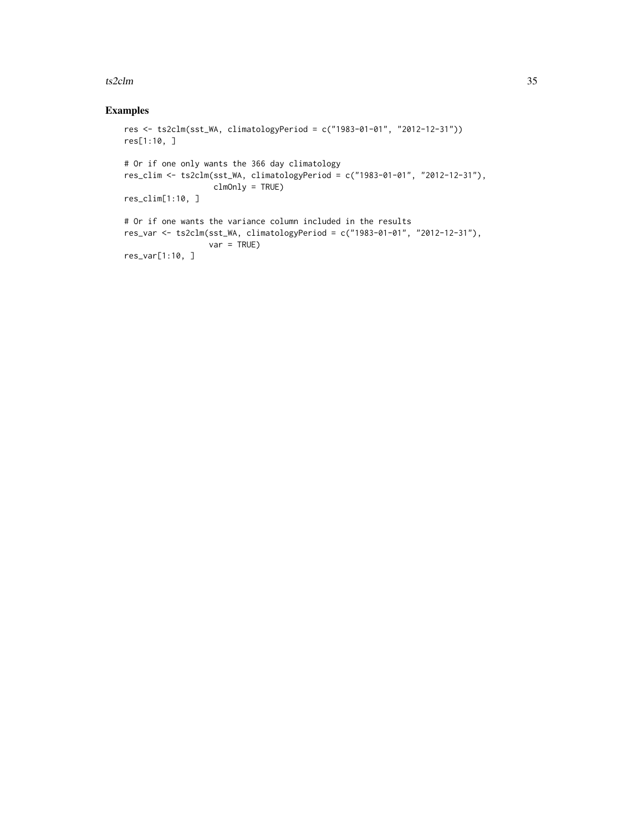#### $ts2clm$   $35$

# Examples

```
res <- ts2clm(sst_WA, climatologyPeriod = c("1983-01-01", "2012-12-31"))
res[1:10, ]
# Or if one only wants the 366 day climatology
res_clim <- ts2clm(sst_WA, climatologyPeriod = c("1983-01-01", "2012-12-31"),
                  clmOnly = TRUE)
res_clim[1:10, ]
# Or if one wants the variance column included in the results
res_var <- ts2clm(sst_WA, climatologyPeriod = c("1983-01-01", "2012-12-31"),
                 var = TRUE)
res_var[1:10, ]
```